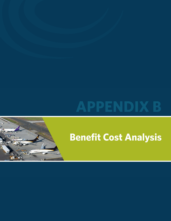# APPENDIX



# **Benefit Cost Analysis**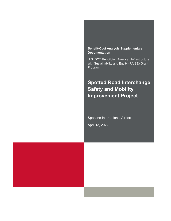#### **Benefit-Cost Analysis Supplementary Documentation**

U.S. DOT Rebuilding American Infrastructure with Sustainability and Equity (RAISE) Grant Program

# **Spotted Road Interchange Safety and Mobility Improvement Project**

Spokane International Airport April 13, 2022

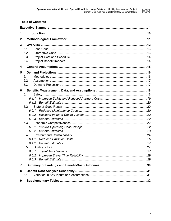|   | <b>Table of Contents</b> |  |  |  |  |  |  |  |
|---|--------------------------|--|--|--|--|--|--|--|
|   |                          |  |  |  |  |  |  |  |
| 1 |                          |  |  |  |  |  |  |  |
| 2 |                          |  |  |  |  |  |  |  |
|   |                          |  |  |  |  |  |  |  |
| 3 | 3.1                      |  |  |  |  |  |  |  |
|   | 3.2                      |  |  |  |  |  |  |  |
|   | 3.3                      |  |  |  |  |  |  |  |
|   | 3.4                      |  |  |  |  |  |  |  |
| 4 |                          |  |  |  |  |  |  |  |
| 5 |                          |  |  |  |  |  |  |  |
|   | 5.1                      |  |  |  |  |  |  |  |
|   | 5.2                      |  |  |  |  |  |  |  |
|   | 5.3                      |  |  |  |  |  |  |  |
| 6 |                          |  |  |  |  |  |  |  |
|   | 6.1                      |  |  |  |  |  |  |  |
|   | 6.1.1                    |  |  |  |  |  |  |  |
|   | 612                      |  |  |  |  |  |  |  |
|   | 6.2                      |  |  |  |  |  |  |  |
|   |                          |  |  |  |  |  |  |  |
|   |                          |  |  |  |  |  |  |  |
|   | 6.2.3                    |  |  |  |  |  |  |  |
|   | 6.3                      |  |  |  |  |  |  |  |
|   | 6.3.1                    |  |  |  |  |  |  |  |
|   | 6.3.2                    |  |  |  |  |  |  |  |
|   | 6.4                      |  |  |  |  |  |  |  |
|   | 6.4.1                    |  |  |  |  |  |  |  |
|   |                          |  |  |  |  |  |  |  |
|   | 6.5                      |  |  |  |  |  |  |  |
|   | 6.5.1                    |  |  |  |  |  |  |  |
|   | 6.5.2                    |  |  |  |  |  |  |  |
|   | 6.5.3                    |  |  |  |  |  |  |  |
| 7 |                          |  |  |  |  |  |  |  |
| 8 |                          |  |  |  |  |  |  |  |
|   | 8.1                      |  |  |  |  |  |  |  |
| 9 |                          |  |  |  |  |  |  |  |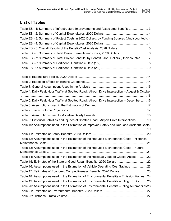# **List of Tables**

| Table ES - 1: Summary of Infrastructure Improvements and Associated Benefits 3                   |  |
|--------------------------------------------------------------------------------------------------|--|
|                                                                                                  |  |
| Table ES - 3: Summary of Project Costs in 2020 Dollars, by Funding Sources (Undiscounted). 4     |  |
|                                                                                                  |  |
|                                                                                                  |  |
| Table ES - 6: Summary of Total Project Benefits and Costs, 2020 Dollars 6                        |  |
| Table ES - 7: Summary of Total Project Benefits, by Benefit, 2020 Dollars (Undiscounted) 7       |  |
|                                                                                                  |  |
|                                                                                                  |  |
|                                                                                                  |  |
|                                                                                                  |  |
|                                                                                                  |  |
| Table 4: Daily Peak Hour Traffic at Spotted Road / Airport Drive Intersection - August & October |  |
| Table 5: Daily Peak Hour Traffic at Spotted Road / Airport Drive Intersection - December 16      |  |
|                                                                                                  |  |
|                                                                                                  |  |
|                                                                                                  |  |
| Table 9: Historical Fatalities and Injuries at Spotted Road / Airport Drive Intersections19      |  |
| Table 10: Assumptions used in the Estimation of Improved Safety and Reduced Accident Costs       |  |
|                                                                                                  |  |
| Table 12: Assumptions used in the Estimation of the Reduced Maintenance Costs - Historical       |  |
|                                                                                                  |  |
| Table 13: Assumptions used in the Estimation of the Reduced Maintenance Costs – Future           |  |
| Table 14: Assumptions used in the Estimation of the Residual Value of Capital Assets22           |  |
|                                                                                                  |  |
| Table 16: Assumptions used in the Estimation of Vehicle Operating Cost Savings 23                |  |
| Table 17: Estimates of Economic Competitiveness Benefits, 2020 Dollars 23                        |  |
| Table 18: Assumptions used in the Estimation of Environmental Benefits - Emission Values24       |  |
| Table 19: Assumptions used in the Estimation of Environmental Benefits – Idling Trucks25         |  |
| Table 20: Assumptions used in the Estimation of Environmental Benefits - Idling Automobiles 26   |  |
|                                                                                                  |  |
|                                                                                                  |  |

**FDS**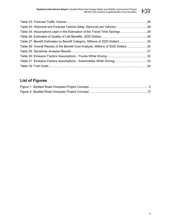

| Table 27: Benefit Estimates by Benefit Category, Millions of 2020 Dollars30         |  |
|-------------------------------------------------------------------------------------|--|
| Table 28: Overall Results of the Benefit Cost Analysis, Millions of 2020 Dollars 30 |  |
|                                                                                     |  |
|                                                                                     |  |
| Table 31: Emission Factors Assumptions - Automobiles While Driving 33               |  |
|                                                                                     |  |

# **List of Figures**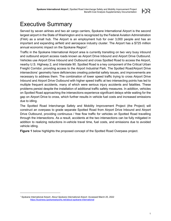Served by seven airlines and two air cargo carriers, Spokane International Airport is the second largest airport in the State of Washington and is recognized by the Federal Aviation Administration (FAA) as a small hub. The Airport is an employment hub for over 3,000 people and has an important and expanding airfield and aerospace industry cluster. The Airport has a \$725 million annual economic impact on the Spokane Region<sup>1</sup>.

Traffic in the Spokane International Airport area is currently transiting on two very busy inbound and outbound airport access roads known as Airport Drive Inbound and Airport Drive Outbound. Vehicles use Airport Drive Inbound and Outbound and cross Spotted Road to access the Airport, nearby U.S. Highway 2, and Interstate 90. Spotted Road is a key component of the Critical Urban Freight Corridor, providing access to the Airport Industrial Park. The Spotted Road/Airport Drive intersections' geometry have deficiencies creating potential safety issues, and improvements are necessary to address them. The combination of lower speed traffic trying to cross Airport Drive Inbound and Airport Drive Outbound with higher speed traffic at two intersecting points has led to multiple frequent accidents, many of which were serious injury accidents and fatalities. These problems persist despite the installation of additional traffic safety measures. In addition, vehicles on Spotted Road approaching the intersections experience significant delays while waiting for the gap on Airport Drive to cross, which further results in vehicle fuel costs and increased emissions due to idling.

The Spotted Road Interchange Safety and Mobility Improvement Project (the Project) will construct an overpass to grade separate Spotted Road from Airport Drive Inbound and Airport Drive Outbound, providing continuous / free flow traffic for vehicles on Spotted Road travelling through the intersections. As a result, accidents at the two intersections can be fully mitigated in addition to realizing reductions in-vehicle travel time, fuel costs, and emissions due to avoided vehicle idling.

**Figure 1** below highlights the proposed concept of the Spotted Road Overpass project.

<sup>1</sup> Spokane International Airport. *About Spokane International Airport.* Accessed March 25, 2022 https://business.spokaneairports.net/about-spokane-international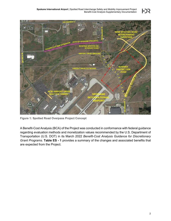

**Figure 1: Spotted Road Overpass Project Concept** 

A Benefit-Cost Analysis (BCA) of the Project was conducted in conformance with federal guidance regarding evaluation methods and monetization values recommended by the U.S. Department of Transportation (U.S. DOT) in its March 2022 *Benefit-Cost Analysis Guidance for Discretionary Grant Programs*. **Table ES - 1** provides a summary of the changes and associated benefits that are expected from the Project.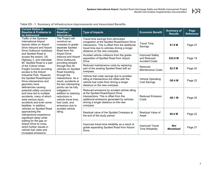| <b>Current Status or</b><br><b>Baseline &amp; Problems to</b><br>be Addressed                                                                                                           | <b>Changes to</b><br>Baseline /<br><b>Alternatives</b>                                                                                                                | <b>Type of Impacts</b>                                                                                                                                                                                                        | <b>Economic Benefit</b>                                 | <b>Summary of</b><br><b>Results</b> | Page<br><b>Reference</b> |
|-----------------------------------------------------------------------------------------------------------------------------------------------------------------------------------------|-----------------------------------------------------------------------------------------------------------------------------------------------------------------------|-------------------------------------------------------------------------------------------------------------------------------------------------------------------------------------------------------------------------------|---------------------------------------------------------|-------------------------------------|--------------------------|
| Traffic in the Spokane<br><b>International Airport</b><br>heavily relies on Airport<br>Drive Inbound and Airport<br>Drive Outbound roadways                                             | The Project will<br>construct an<br>overpass to grade-<br>separate Spotted<br>Road from the                                                                           | Travel time savings from eliminated<br>congestion at the Spotted Road/Airport Drive<br>intersection. This is offset from the additional<br>travel time due to vehicles driving a longer<br>distance on the new overpass.      | <b>Travel Time</b><br>Savings                           | \$1.9 M                             | Page 27                  |
| and Spotted Road to<br>access the airport, US.<br>Highway 2, and Interstate<br>90. Spotted Road is a part                                                                               | <b>Airport Drive</b><br>Inbound and Airport<br>Drive Outbound,<br>providing straight                                                                                  | Avoided vehicle collisions from the grade-<br>separation of Spotted Road from Airport<br>Drive.                                                                                                                               | Improved Safety<br>and Reduced<br><b>Accident Costs</b> | \$32.6 M                            | Page 19                  |
| of the Critical Urban<br>Freight Corridor providing<br>access to the Airport                                                                                                            | through flow for<br>vehicles on Spotted<br>Road travelling                                                                                                            | Reduced maintenance costs by replacing<br>part of the existing Spotted Road with an<br>overpass.                                                                                                                              | Reduced<br>Maintenance Costs                            | \$2.5 M                             | Page 20                  |
| through the<br>Industrial Park. However.<br>intersections. As a<br>the Spotted Road/Airport<br>Drive intersections and<br>result, accidents at<br>the two intersecting<br>geometry have | Vehicle fuel costs savings due to avoided<br>idling at intersections but offset with the<br>vehicle fuel costs from driving a longer<br>distance on the new overpass. | <b>Vehicle Operating</b><br>Cost Savings                                                                                                                                                                                      | $-$0.4 M$                                               | Page 22                             |                          |
| deficiencies causing<br>potential safety concerns<br>and have led to multiple<br>accidents, many of which<br>were serious injury<br>accidents and even some<br>fatalities. In addition. | points can be fully<br>mitigated in<br>addition to realizing<br>reductions in<br>vehicle travel time,<br>fuel costs, and<br>emissions due to                          | Reduced emissions by avoided vehicle idling<br>at the Spotted Road/Airport Drive<br>intersections. This is offset from the<br>additional emissions generated by vehicles<br>driving a longer distance on the new<br>overpass. | <b>Reduced Emission</b><br>Costs                        | $-$0.1M$                            | Page 25                  |
| vehicles on Spotted Road<br>approaching the<br>intersections experience<br>significant delay while                                                                                      | avoided vehicle<br>idling.                                                                                                                                            | Residual value of the Spotted Overpass at<br>the end of the study period.                                                                                                                                                     | Residual Value of<br>Asset                              | \$0.0 M                             | Page 22                  |
| waiting for the gap on<br>Airport Drive to cross,<br>which further results in<br>vehicle fuel costs and<br>increased emissions.                                                         |                                                                                                                                                                       | Improved travel time reliability as a result of<br>grade separating Spotted Road from Airport<br>Drive.                                                                                                                       | <b>Improved Travel</b><br><b>Time Reliability</b>       | <b>Not</b><br><b>Monetized</b>      | Page 27                  |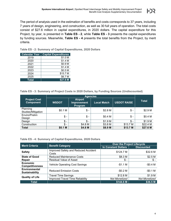The period of analysis used in the estimation of benefits and costs corresponds to 37 years, including 7 years of design, engineering, and construction, as well as 30 full years of operation. The total costs consist of \$27.6 million in capital expenditures, in 2020 dollars. The capital expenditure for this Project, by year, is presented in **Table ES - 2**, while **Table ES - 3** presents the capital expenditures by funding sources. Meanwhile, **Table ES - 4** presents the total benefits from the Project, by merit criteria.

**Table ES - 2: Summary of Capital Expenditures, 2020 Dollars** 

| <b>Calendar Year</b> | <b>Capital Expenditures</b> |
|----------------------|-----------------------------|
| 2019                 | \$1.0 M                     |
| 2020                 | \$1.4 M                     |
| 2021                 | \$0.9 M                     |
| 2022                 | \$1.4 M                     |
| 2023                 | \$0.5 M                     |
| 2024                 | \$15.7 M                    |
| 2025                 | \$6.7 M                     |
| <b>Total</b>         | \$27.6 M                    |

**Table ES - 3: Summary of Project Costs in 2020 Dollars, by Funding Sources (Undiscounted)** 

|                                         |              |                                                        | <b>Agencies</b>    |                    |              |  |  |
|-----------------------------------------|--------------|--------------------------------------------------------|--------------------|--------------------|--------------|--|--|
| <b>Project Cost</b><br><b>Component</b> | <b>WSDOT</b> | <b>Airport</b><br><b>Improvement</b><br><b>Program</b> | <b>Local Match</b> | <b>USDOT RAISE</b> | <b>Total</b> |  |  |
| Planning<br>Studies/Mitigation          | \$0.1 M      | $$ -$                                                  | \$2.8 M            | $$ -$              | \$2.9 M      |  |  |
| Enviro/Prelim<br>Design                 | $$ -$        | $$ -$                                                  | \$0.4 M            | $$ -$              | \$0.4 M      |  |  |
| Design                                  | \$           | $$ -$                                                  | \$1.9 M            | $\mathsf{\$}$ -    | \$1.9 M      |  |  |
| Construction                            | \$           | \$4.8 M                                                | \$3.8 M            | \$13.7 M           | \$22.4 M     |  |  |
| <b>Total</b>                            | \$0.1 M      | \$4.8 M                                                | \$8.9 M            | \$13.7 M           | \$27.6 M     |  |  |

**Table ES - 4: Summary of Capital Expenditures, 2020 Dollars** 

| <b>Merit Criteria</b>                         |                                               | <b>Over the Project Lifecycle</b> |                      |  |  |
|-----------------------------------------------|-----------------------------------------------|-----------------------------------|----------------------|--|--|
|                                               | <b>Benefit Category</b>                       | <b>In Constant Dollars</b>        | <b>Discounted</b>    |  |  |
| <b>Safety</b>                                 | Improved Safety and Reduced Accident<br>Costs | \$124.7 M                         | \$32.6 M             |  |  |
| <b>State of Good</b>                          | <b>Reduced Maintenance Costs</b>              | \$8.3 M                           | \$2.5 <sub>M</sub>   |  |  |
| Repair                                        | <b>Residual Value of Asset</b>                | \$ -                              | $$ -$                |  |  |
| <b>Economic</b><br><b>Competitiveness</b>     | <b>Vehicle Operating Cost Savings</b>         | $-$1.1 M$                         | $-$0.4 M$            |  |  |
| <b>Environmental</b><br><b>Sustainability</b> | <b>Reduced Emission Costs</b>                 | $-$0.2 M$                         | $-$0.1 M$            |  |  |
|                                               | <b>Travel Time Savings</b>                    | \$12.8 M                          | \$1.9 M              |  |  |
| <b>Quality of Life</b>                        | <b>Improved Travel Time Reliability</b>       | <b>Not Monetized</b>              | <b>Not Monetized</b> |  |  |
| <b>Total</b>                                  |                                               | \$144.6 M                         | \$36.5 <sub>M</sub>  |  |  |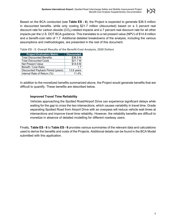Based on the BCA conducted (see **Table ES - 4**), the Project is expected to generate \$36.5 million in discounted benefits, while only costing \$21.7 million (discounted) based on a 3 percent real discount rate for carbon dioxide  $(CO_2)$ -related impacts and a 7 percent real discount rate for all other impacts per the U.S. DOT BCA guidance. This translates to a net present value (NPV) of \$14.8 million and a benefit-cost ratio of 1.7. Additional detailed breakdowns of the analysis, including the various assumptions and methodologies, are presented in the rest of this document.

| <b>Project Evaluation Metric</b>  | <b>Discounted</b> |
|-----------------------------------|-------------------|
| <b>Total Discounted Benefits</b>  | \$36.5 M          |
| <b>Total Discounted Costs</b>     | \$21.7 M          |
| Net Present Value                 | \$14.8 M          |
| Benefit / Cost Ratio              | 17                |
| Discounted Payback Period (years) | 13.8 years        |
| Internal Rate of Return (%)       | 11 4%             |

**Table ES - 5: Overall Results of the Benefit-Cost Analysis, 2020 Dollars** 

In addition to the monetized benefits summarized above, the Project would generate benefits that are difficult to quantify. These benefits are described below.

#### **Improved Travel Time Reliability**

Vehicles approaching the Spotted Road/Airport Drive can experience significant delays while waiting for the gap to cross the two intersections, which causes variability in travel time. Grade separating Spotted Road from Airport Drive with an overpass will reduce vehicle wait times at intersections and improve travel time reliability. However, the reliability benefits are difficult to monetize in absence of detailed modelling for different roadway users.

Finally, **Table ES - 6** to **Table ES - 9** provides various summaries of the relevant data and calculations used to derive the benefits and costs of the Projects. Additional details can be found in the BCA Model submitted with this application.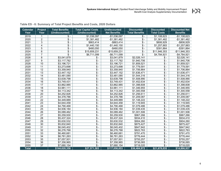| Calendar<br>Year | Project<br>Year | <b>Total Benefits</b><br>(Undiscounted) | <b>Total Capital Costs</b><br>(Undiscounted) | <b>Undiscounted</b><br><b>Net Benefits</b> | <b>Discounted</b><br><b>Total Benefits</b> | <b>Discounted</b><br><b>Total Costs</b> | <b>Discounted Net</b><br><b>Benefits</b> |
|------------------|-----------------|-----------------------------------------|----------------------------------------------|--------------------------------------------|--------------------------------------------|-----------------------------------------|------------------------------------------|
| 2019             | 1               | \$-                                     | \$1,036,097                                  | $-$1,036,097$                              | $$ -$                                      | \$1,108,623                             | $-$1,108,623$                            |
| 2020             | $\overline{c}$  | $$ -$                                   | \$1,381,462                                  | $-$1,381,462$                              | $$ -$                                      | \$1,381,462                             | $-$1,381,462$                            |
| 2021             | $\overline{3}$  | $\overline{\$}$ -                       | \$863,414                                    | $-$ \$863,414                              | $\overline{\$}$ -                          | \$806,929                               | -\$806,929                               |
| 2022             | 4               | $\overline{\$}$ -                       | \$1,440,150                                  | $-$1,440,150$                              | $\overline{\$}$ -                          | \$1,257,883                             | $-$1,257,883$                            |
| 2023             | $\overline{5}$  | $\overline{\mathsf{s}}$ -               | \$480,050                                    | $-$480,050$                                | $\overline{\$}$ -                          | \$391,864                               | $-$ \$391,864                            |
| 2024             | 6               | $\overline{\$}$ -                       | \$15,659,231                                 | $-$15,659,231$                             | $\overline{\$}$ -                          | \$11,946,353                            | $-$11,946,353$                           |
| 2025             | $\overline{7}$  | $\frac{2}{3}$ -                         | \$6,711,099                                  | $-$6,711,099$                              | $$ -$                                      | \$4,784,921                             | $-$4,784,921$                            |
| 2026             | 8               | \$3,041,879                             | $$ -$                                        | \$3,041,879                                | \$2,026,141                                | \$-                                     | \$2,026,141                              |
| 2027             | 9               | \$3,117,782                             | $\overline{\$}$ -                            | \$3,117,782                                | \$1,940,706                                | $$ -$                                   | \$1,940,706                              |
| 2028             | $\overline{10}$ | \$3,196,721                             | $\overline{\$}$ -                            | \$3,196,721                                | $\overline{$1,859,521}$                    | $\overline{\$}$ -                       | \$1,859,521                              |
| 2029             | $\overline{11}$ | \$3,273,698                             | $\overline{\$}$ -                            | \$3,273,698                                | \$1,779,591                                | $$ -$                                   | \$1,779,591                              |
| 2030             | $\overline{12}$ | \$3,359,940                             | $\overline{\$}$ -                            | \$3,359,940                                | \$1,706,864                                | $\overline{\$}$ -                       | \$1,706,864                              |
| 2031             | 13              | \$3,447,152                             | $$ -$                                        | \$3,447,152                                | \$1,636,471                                | $$ -$                                   | \$1,636,471                              |
| 2032             | $\overline{14}$ | \$3,481,085                             | $\overline{\$}$ -                            | \$3,481,085                                | \$1,544,316                                | $\overline{\$}$ -                       | \$1,544,316                              |
| 2033             | $\overline{15}$ | $\overline{$3,639,798}$                 | $\overline{\$}$ -                            | \$3,639,798                                | \$1,508,990                                | $\overline{\$}$ -                       | \$1,508,990                              |
| 2034             | $\overline{16}$ | $\overline{$3,749,431}$                 | $\overline{\$}$ -                            | \$3,749,431                                | \$1,452,634                                | $\overline{\$}$ -                       | \$1,452,634                              |
| 2035             | $\overline{17}$ | 3,862,985                               | $\overline{\$}$ -                            | \$3,862,985                                | \$1,398,608                                | $\overline{\$}$ -                       | \$1,398,608                              |
| 2036             | $\overline{18}$ | $\overline{\$3,981,111}$                | $\overline{\$}$ -                            | \$3,981,111                                | $\overline{$1,346,955}$                    | $\overline{\$}$ -                       | \$1,346,955                              |
| 2037             | $\overline{19}$ | \$4,113,342                             | $\overline{\$}$ -                            | \$4,113,342                                | \$1,300,558                                | $$ -$                                   | \$1,300,558                              |
| 2038             | $\overline{20}$ | \$4,252,826                             | $\overline{\$}$ -                            | \$4,252,826                                | \$1,256,611                                | $\overline{\$}$ -                       | \$1,256,611                              |
| 2039             | $\overline{21}$ | \$4,378,786                             | $\overline{\$}$ -                            | \$4,378,786                                | \$1,209,087                                | $\overline{\$}$ -                       | \$1,209,087                              |
| 2040             | 22              | $\overline{\$4,449,889}$                | $\overline{\$}$ -                            | \$4,449,889                                | \$1,148,222                                | $$ -$                                   | \$1,148,222                              |
| 2041             | $\overline{23}$ | \$4,644,458                             | $\overline{\$}$ -                            | \$4,644,458                                | \$1,119,945                                | $\overline{\$}$ -                       | \$1,119,945                              |
| 2042             | $\overline{24}$ | \$4,790,468                             | $$ -$                                        | \$4,790,468                                | \$1,079,486                                | $$ -$                                   | \$1,079,486                              |
| 2043             | $\overline{25}$ | \$4,936,184                             | $\overline{\$}$ -                            | \$4,936,184                                | \$1,039,435                                | $\overline{\$}$ -                       | \$1,039,435                              |
| 2044             | 26              | $\overline{$}5,089,462$                 | $\frac{2}{3}$ -                              | \$5,089,462                                | \$1,001,506                                | $$ -$                                   | \$1,001,506                              |
| 2045             | $\overline{27}$ | $\overline{$5,259,930}$                 | $\overline{\$}$ -                            | \$5,259,930                                | \$967,266                                  | $\overline{\$}$ -                       | \$967,266                                |
| 2046             | 28              | \$5,437,324                             | $\overline{\$}$ -                            | \$5,437,324                                | \$934,410                                  | $$ -$                                   | \$934,410                                |
| 2047             | $\overline{29}$ | \$5,630,532                             | $\overline{\$}$ -                            | \$5,630,532                                | \$904,260                                  | $\overline{\$}$ -                       | \$904,260                                |
| 2048             | $\overline{30}$ | \$5,832,840                             | $\overline{\$}$ -                            | \$5,832,840                                | \$875,427                                  | $\overline{\$}$ -                       | \$875,427                                |
| 2049             | $\overline{31}$ | \$6,045,402                             | $\overline{\$}$ -                            | \$6,045,402                                | \$847,942                                  | $\overline{\$}$ -                       | \$847,942                                |
| 2050             | $\overline{32}$ | \$6,276,768                             | $\overline{\$}$ -                            | \$6,276,768                                | \$822,763                                  | $\overline{\$}$ -                       | \$822,763                                |
| 2051             | $\overline{33}$ | \$6,460,681                             | $\overline{\$}$ -                            | \$6,460,681                                | \$791,470                                  | $$ -$                                   | \$791,470                                |
| 2052             | 34              | \$6,781,263                             | $$ -$                                        | \$6,781,263                                | \$776,444                                  | $\mathsf{\$}$ -                         | \$776,444                                |
| 2053             | $\overline{35}$ | \$7,057,501                             | $$ -$                                        | \$7,057,501                                | \$755,257                                  | $$ -$                                   | \$755,257                                |
| 2054             | $\overline{36}$ | \$7,358,965                             | $\overline{\$}$ -                            | \$7,358,965                                | \$736,065                                  | $\overline{\$}$ -                       | \$736,065                                |
| 2055             | $\overline{37}$ | \$7,680,154                             | $\overline{\$}$ -                            | \$7,680,154                                | \$718,020                                  | $\overline{\$}$ -                       | \$718,020                                |
| <b>Total</b>     |                 | \$144,628,356                           | \$27,571,503                                 | \$117,056,853                              | \$36,484,972                               | \$21,678,035                            | \$14,806,937                             |

**Table ES - 6: Summary of Total Project Benefits and Costs, 2020 Dollars**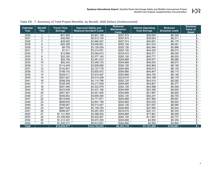| <b>Calendar</b><br>Year | <b>Benefit</b><br>Year | <b>Travel Time</b><br><b>Savings</b> | <b>Improved Safety and</b><br><b>Reduced Accident Costs</b> | <b>Reduced</b><br><b>Maintenance</b><br><b>Costs</b> | <b>Vehicle Operating</b><br><b>Cost Savings</b> | <b>Reduced</b><br><b>Emission costs</b> | <b>Residual</b><br>Value of<br><b>Asset</b> |
|-------------------------|------------------------|--------------------------------------|-------------------------------------------------------------|------------------------------------------------------|-------------------------------------------------|-----------------------------------------|---------------------------------------------|
| 2026                    |                        | $-$41,806$                           | \$2,841,106                                                 | \$287,574                                            | $-$38,655$                                      | $-$6,340$                               | $$ -$                                       |
| 2027                    | $\overline{2}$         | $-$36,092$                           | \$2,912,134                                                 | \$287,574                                            | $-$39,624$                                      | $-$ \$6,211                             | $\overline{\$}$ -                           |
| 2028                    | $\overline{3}$         | $-$ \$28,920                         | \$2,984,937                                                 | \$287,574                                            | $-$40,691$                                      | $- $6,179$                              | $\overline{\$}$                             |
| 2029                    | 4                      | $-$20,298$                           | \$3,059,561                                                 | \$282,126                                            | $-$41,610$                                      | $-$6,081$                               | $\overline{\$}$ -                           |
| 2030                    | $\overline{5}$         | $-$9,755$                            | \$3,136,050                                                 | \$282,126                                            | $-$42,484$                                      | $-$5,996$                               | $\overline{\$}$ -                           |
| 2031                    | $\overline{6}$         | \$1,011                              | \$3,214,451                                                 | \$282,126                                            | $-$ \$44,423                                    | $-$6,012$                               | $\overline{\$}$ -                           |
| 2032                    | $\overline{7}$         | \$12,968                             | \$3,294,812                                                 | \$224,616                                            | $-$45,271$                                      | $-$6,040$                               | $\overline{\$}$ -                           |
| 2033                    | 8                      | \$32,320                             | \$3,377,183                                                 | \$282,126                                            | $-$45,777$                                      | $-$ \$6,053                             | $\overline{\$}$ -                           |
| 2034                    | 9                      | \$55,194                             | \$3,461,612                                                 | \$284,668                                            | $-$45,977$                                      | $-$6,066$                               | $\overline{\$}$ -                           |
| 2035                    | 10                     | \$82,242                             | \$3,548,153                                                 | \$284,668                                            | $-$46,003$                                      | $-$6,074$                               | $\overline{\mathsf{s}}$ -                   |
| 2036                    | 11                     | $\overline{$}114,249$                | \$3.636.856                                                 | \$282,126                                            | $-$45,964$                                      | $-$6,156$                               | $\overline{\mathsf{s}}$ -                   |
| 2037                    | $\overline{12}$        | \$152,651                            | \$3,727,778                                                 | \$284,668                                            | $-$45,613$                                      | $-$6,142$                               | $\overline{\$}$ -                           |
| 2038                    | 13                     | \$198,142                            | \$3,820,972                                                 | \$284,668                                            | $-$ \$44,847                                    | $-$6,110$                               | $\overline{\$}$ -                           |
| 2039                    | $\overline{14}$        | \$228,511                            | \$3,916,497                                                 | \$284,668                                            | $-$44,745$                                      | $-$6,146$                               | $\overline{\mathsf{s}}$ -                   |
| 2040                    | $\overline{15}$        | \$261,827                            | \$4,014,409                                                 | \$224,616                                            | $-$44,786$                                      | $-$6,178$                               | $\overline{\$}$ -                           |
| 2041                    | $\overline{16}$        | \$298,358                            | \$4,114,769                                                 | \$282,126                                            | $-$44,514$                                      | $-$ \$6,282                             | $\overline{\$}$ -                           |
| 2042                    | 17                     | \$338,395                            | \$4,217,638                                                 | \$284,668                                            | $-$43,857$                                      | $-$6,377$                               | $\overline{\mathsf{s}}$ -                   |
| 2043                    | 18                     | \$381,095                            | \$4,323,079                                                 | \$282.126                                            | $-$43,568$                                      | $-$6,548$                               | $\overline{\$}$ -                           |
| 2044                    | $\overline{19}$        | \$423,638                            | \$4,431,156                                                 | \$284,668                                            | -\$43,356                                       | $-$ \$6,645                             | $\overline{\mathsf{s}}$ -                   |
| 2045                    | $\overline{20}$        | \$481,907                            | \$4,541,935                                                 | \$284,668                                            | $-$41,897$                                      | $-$ \$6,683                             | $\overline{\$}$ -                           |
| 2046                    | 21                     | \$546,662                            | \$4,655,484                                                 | \$282.126                                            | $-$40.247$                                      | $-$6,700$                               | $\overline{\$}$ -                           |
| 2047                    | 22                     | \$618,646                            | \$4,771,871                                                 | \$284,668                                            | $-$ \$37,962                                    | $-$6,691$                               | $\overline{\$}$ -                           |
| 2048                    | $\overline{23}$        | \$698,693                            | \$4,891,168                                                 | \$284,668                                            | $-$35,034$                                      | $-$6,653$                               | $\overline{\mathsf{s}}$ -                   |
| 2049                    | 24                     | \$788,067                            | \$5,013,447                                                 | \$282,126                                            | $-$31,657$                                      | $-$6,580$                               | $\overline{\$}$ -                           |
| 2050                    | 25                     | \$887,526                            | \$5,138,783                                                 | \$284,668                                            | $-$27,665$                                      | $-$6,544$                               | $\frac{1}{2}$                               |
| 2051                    | $\overline{26}$        | \$998.257                            | \$5,267,253                                                 | \$224.616                                            | $-$23,121$                                      | $-$6,325$                               | $\overline{\mathsf{s}}$ -                   |
| 2052                    | 27                     | \$1,121,600                          | \$5,398,934                                                 | \$284,668                                            | $-$17,881$                                      | $-$6,058$                               | $\overline{\$}$ -                           |
| 2053                    | $\overline{28}$        | \$1,259,062                          | \$5,533,907                                                 | \$282,126                                            | $-$11,857$                                      | $-$5,737$                               | $\overline{\$}$ -                           |
| 2054                    | $\overline{29}$        | \$1,412,347                          | \$5,672,255                                                 | \$284,668                                            | $-$4,950$                                       | $-$5,355$                               | $\overline{\$}$ -                           |
| $205\overline{5}$       | $\overline{30}$        | \$1,583,377                          | \$5,814,061                                                 | \$284,668                                            | \$2,952                                         | $-$4,904$                               | $\overline{\$}$ -                           |
| <b>Total</b>            |                        | \$12,839,877                         | \$124,732,253                                               | \$8,343,178                                          | $-$1,101,085$                                   | $-$185,867$                             | $s -$                                       |

**Table ES - 7: Summary of Total Project Benefits, by Benefit, 2020 Dollars (Undiscounted)** 

**FDR**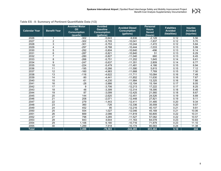| <b>Calendar Year</b> | <b>Benefit Year</b> | <b>Avoided Motor</b><br>Oil<br><b>Consumption</b><br>(quarts) | <b>Avoided</b><br><b>Gasoline</b><br><b>Consumption</b><br>(gallons) | <b>Avoided Diesel</b><br><b>Consumption</b><br>(gallons) | <b>Personal</b><br><b>Hours</b><br><b>Saved</b><br>(hours) | <b>Fatalities</b><br><b>Avoided</b><br>(fatalities) | <b>Injuries</b><br>Avoided<br>(injuries) |
|----------------------|---------------------|---------------------------------------------------------------|----------------------------------------------------------------------|----------------------------------------------------------|------------------------------------------------------------|-----------------------------------------------------|------------------------------------------|
| 2026                 |                     | $-302$                                                        | $-5,643$                                                             | $-9,836$                                                 | $-2,128$                                                   | 0.12                                                | 5.56                                     |
| 2027                 | $\overline{c}$      | $-302$                                                        | $-5,705$                                                             | $-10,041$                                                | $-1,837$                                                   | 0.12                                                | 5.70                                     |
| 2028                 | 3                   | $-301$                                                        | $-5,753$                                                             | $-10,244$                                                | $-1,472$                                                   | 0.12                                                | 5.84                                     |
| 2029                 | 4                   | $-297$                                                        | $-5,788$                                                             | $-10,444$                                                | $-1,033$                                                   | 0.13                                                | 5.99                                     |
| 2030                 | 5                   | $-292$                                                        | $-5,804$                                                             | $-10,640$                                                | $-496$                                                     | 0.13                                                | 6.14                                     |
| 2031                 | 6                   | $-287$                                                        | $-5,821$                                                             | $-10,840$                                                | 51                                                         | 0.13                                                | 6.29                                     |
| 2032                 | $\overline{ }$      | $-280$                                                        | $-5,827$                                                             | $-11,040$                                                | 660                                                        | 0.13                                                | 6.45                                     |
| 2033                 | 8                   | $-266$                                                        | $-5,751$                                                             | $-11,202$                                                | 1,645                                                      | 0.14                                                | 6.61                                     |
| 2034                 | 9                   | $-247$                                                        | $-5,637$                                                             | $-11,351$                                                | 2,809                                                      | 0.14                                                | 6.77                                     |
| 2035                 | $\overline{10}$     | $-224$                                                        | $-5,479$                                                             | $-11,481$                                                | 4,186                                                      | 0.15                                                | 6.94                                     |
| 2036                 | $\overline{11}$     | $-195$                                                        | $-5,266$                                                             | $-11,590$                                                | 5,815                                                      | 0.15                                                | 7.12                                     |
| 2037                 | $\overline{12}$     | $-160$                                                        | $-4,983$                                                             | $-11,668$                                                | 7,769                                                      | 0.15                                                | 7.30                                     |
| 2038                 | 13                  | $-116$                                                        | $-4,622$                                                             | $-11,711$                                                | 10,084                                                     | 0.16                                                | 7.48                                     |
| 2039                 | 14                  | $-90$                                                         | $-4,441$                                                             | $-11,852$                                                | 11,630                                                     | 0.16                                                | 7.67                                     |
| 2040                 | 15                  | $-61$                                                         | $-4,230$                                                             | $-11,984$                                                | 13,325                                                     | 0.16                                                | 7.86                                     |
| 2041                 | $\overline{16}$     | $-28$                                                         | $-3,986$                                                             | $-12,104$                                                | 15,184                                                     | 0.17                                                | 8.05                                     |
| 2042                 | 17                  | 9                                                             | $-3,706$                                                             | $-12,213$                                                | 17,222                                                     | 0.17                                                | 8.25                                     |
| 2043                 | $\overline{18}$     | $\overline{48}$                                               | $-3,399$                                                             | $-12,314$                                                | 19,395                                                     | 0.18                                                | 8.46                                     |
| 2044                 | $\overline{19}$     | $\overline{87}$                                               | $-3,099$                                                             | $-12,425$                                                | 21,560                                                     | 0.18                                                | 8.67                                     |
| 2045                 | 20                  | 144                                                           | $-2,620$                                                             | $-12,451$                                                | 24,526                                                     | 0.19                                                | 8.89                                     |
| 2046                 | $\overline{21}$     | $\overline{208}$                                              | $-2,071$                                                             | $-12,448$                                                | 27,821                                                     | 0.19                                                | 9.11                                     |
| 2047                 | $\overline{22}$     | $\overline{279}$                                              | $-1,443$                                                             | $-12,411$                                                | 31,485                                                     | 0.20                                                | 9.34                                     |
| 2048                 | $\overline{23}$     | 360                                                           | $-726$                                                               | $-12,336$                                                | 35,559                                                     | 0.20                                                | 9.57                                     |
| 2049                 | $\overline{24}$     | 452                                                           | $\overline{95}$                                                      | $-12,216$                                                | 40,107                                                     | 0.21                                                | 9.81                                     |
| 2050                 | $\overline{25}$     | 554                                                           | 1,027                                                                | $-12,046$                                                | 45,169                                                     | 0.21                                                | 10.06                                    |
| 2051                 | $\overline{26}$     | 669                                                           | 2,086                                                                | $-11,819$                                                | 50,805                                                     | 0.22                                                | 10.31                                    |
| 2052                 | 27                  | 798                                                           | 3,285                                                                | $-11,527$                                                | 57,082                                                     | 0.22                                                | 10.57                                    |
| 2053                 | $\overline{28}$     | 943                                                           | 4,644                                                                | $-11,163$                                                | 64,078                                                     | 0.23                                                | 10.83                                    |
| 2054                 | $\overline{29}$     | 1,106                                                         | 6,180                                                                | $-10,716$                                                | 71,879                                                     | 0.23                                                | 11.10                                    |
| 2055                 | $\overline{30}$     | 1,289                                                         | 7,918                                                                | $-10,174$                                                | 80,583                                                     | 0.24                                                | 11.38                                    |
| <b>Total</b>         |                     | 3,498                                                         | $-76,563$                                                            | $-344,285$                                               | 653,464                                                    | 5.10                                                | 244                                      |

**Table ES - 8: Summary of Pertinent Quantifiable Data (1/2)**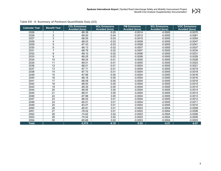| <b>Calendar Year</b> | <b>Benefit Year</b>      | CO <sub>2</sub> Emissions<br><b>Avoided (tons)</b> | <b>NO<sub>x</sub></b> Emissions<br><b>Avoided (tons)</b> | <b>PM Emissions</b><br><b>Avoided (tons)</b> | SO <sub>2</sub> Emissions<br><b>Avoided (tons)</b> | <b>VOC Emissions</b><br><b>Avoided (tons)</b> |
|----------------------|--------------------------|----------------------------------------------------|----------------------------------------------------------|----------------------------------------------|----------------------------------------------------|-----------------------------------------------|
| 2026                 |                          | $-89.39$                                           | $-0.05$                                                  | $-0.0014$                                    | $-0.0005$                                          | $-0.0070$                                     |
| 2026                 | $\overline{2}$           | $-89.00$                                           | $-0.04$                                                  | $-0.0012$                                    | $-0.0005$                                          | $-0.0061$                                     |
| 2027                 | 3                        | $-88.55$                                           | $-0.03$                                                  | $-0.0010$                                    | $-0.0005$                                          | $-0.0054$                                     |
| 2028                 | 4                        | $-88.03$                                           | $-0.03$                                                  | $-0.0009$                                    | $-0.0005$                                          | $-0.0047$                                     |
| 2029                 | 5                        | $-87.43$                                           | $-0.03$                                                  | $-0.0008$                                    | $-0.0005$                                          | $-0.0041$                                     |
| 2030                 | 6                        | $-88.13$                                           | $-0.02$                                                  | $-0.0007$                                    | $-0.0005$                                          | $-0.0037$                                     |
| 2031                 | $\overline{\phantom{a}}$ | $-88.79$                                           | $-0.02$                                                  | $-0.0007$                                    | $-0.0005$                                          | $-0.0034$                                     |
| 2032                 | 8                        | $-89.10$                                           | $-0.02$                                                  | $-0.0006$                                    | $-0.0005$                                          | $-0.0031$                                     |
| 2033                 | 9                        | $-89.25$                                           | $-0.02$                                                  | $-0.0006$                                    | $-0.0005$                                          | $-0.0028$                                     |
| 2034                 | $\overline{10}$          | $-89.24$                                           | $-0.01$                                                  | $-0.0005$                                    | $-0.0005$                                          | $-0.0026$                                     |
| 2035                 | 11                       | $-89.01$                                           | $-0.01$                                                  | $-0.0005$                                    | $-0.0005$                                          | $-0.0023$                                     |
| 2036                 | 12                       | $-88.51$                                           | $-0.01$                                                  | $-0.0004$                                    | $-0.0005$                                          | $-0.0021$                                     |
| 2037                 | 13                       | $-87.71$                                           | $-0.01$                                                  | $-0.0004$                                    | $-0.0005$                                          | $-0.0019$                                     |
| 2038                 | 14                       | $-87.73$                                           | $-0.01$                                                  | $-0.0004$                                    | $-0.0005$                                          | $-0.0018$                                     |
| 2039                 | $\overline{15}$          | $-87.66$                                           | $-0.00$                                                  | $-0.0004$                                    | $-0.0005$                                          | $-0.0016$                                     |
| 2040                 | 16                       | $-88.18$                                           | $-0.00$                                                  | $-0.0004$                                    | $-0.0005$                                          | $-0.0016$                                     |
| 2041                 | 17                       | $-88.59$                                           | $-0.00$                                                  | $-0.0004$                                    | $-0.0005$                                          | $-0.0016$                                     |
| 2042                 | 18                       | $-88.93$                                           | $-0.00$                                                  | $-0.0004$                                    | $-0.0005$                                          | $-0.0015$                                     |
| 2043                 | $\overline{19}$          | $-89.35$                                           | $-0.00$                                                  | $-0.0004$                                    | $-0.0005$                                          | $-0.0015$                                     |
| 2044                 | $\overline{20}$          | $-89.05$                                           | 0.00                                                     | $-0.0004$                                    | $-0.0005$                                          | $-0.0014$                                     |
| 2045                 | $\overline{21}$          | $-88.51$                                           | 0.00                                                     | $-0.0004$                                    | $-0.0005$                                          | $-0.0014$                                     |
| 2046                 | $\overline{22}$          | $-87.68$                                           | 0.00                                                     | $-0.0004$                                    | $-0.0005$                                          | $-0.0013$                                     |
| 2047                 | $\overline{23}$          | $-86.53$                                           | 0.01                                                     | $-0.0004$                                    | $-0.0005$                                          | $-0.0012$                                     |
| 2048                 | $\overline{24}$          | $-85.01$                                           | 0.01                                                     | $-0.0004$                                    | $-0.0005$                                          | $-0.0011$                                     |
| 2049                 | $\overline{25}$          | $-83.07$                                           | 0.01                                                     | $-0.0004$                                    | $-0.0005$                                          | $-0.0010$                                     |
| 2050                 | $\overline{26}$          | $-80.81$                                           | 0.01                                                     | $-0.0003$                                    | $-0.0004$                                          | $-0.0009$                                     |
| 2051                 | 27                       | $-78.02$                                           | 0.01                                                     | $-0.0003$                                    | $-0.0004$                                          | $-0.0008$                                     |
| 2052                 | 28                       | $-74.62$                                           | 0.02                                                     | $-0.0003$                                    | $-0.0004$                                          | $-0.0006$                                     |
| 2053                 | 29                       | $-70.54$                                           | 0.02                                                     | $-0.0003$                                    | $-0.0004$                                          | $-0.0005$                                     |
| 2054                 | $\overline{30}$          | $-65.68$                                           | 0.02                                                     | $-0.0003$                                    | $-0.0004$                                          | $-0.0003$                                     |
| <b>Total</b>         |                          | $-2,572$                                           | $-0.19$                                                  | $-0.02$                                      | $-0.01$                                            | $-0.07$                                       |

#### **Table ES - 9: Summary of Pertinent Quantifiable Data (2/2)**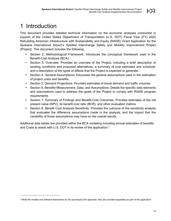# 1 Introduction

This document provides detailed technical information on the economic analyses conducted in support of the United States Department of Transportation (U.S. DOT) Fiscal Year (FY) 2022 Rebuilding American Infrastructure with Sustainability and Equity (RAISE) Grant Application for the Spokane International Airport's Spotted Interchange Safety and Mobility Improvement Project (Project). This document includes the following:

- Section 2, Methodological Framework: Introduces the conceptual framework used in the Benefit-Cost Analysis (BCA).
- Section 3, Overview: Provides an overview of the Project, including a brief description of existing conditions and proposed alternatives; a summary of cost estimates and schedule; and a description of the types of effects that the Project is expected to generate.
- Section 4, General Assumptions: Discusses the general assumptions used in the estimation of project costs and benefits.
- Section 5, Demand Projections: Provides estimates of travel demand and traffic volumes.
- Section 6, Benefits Measurement, Data, and Assumptions: Details the specific data elements and assumptions used to address the goals of the Project to comply with RAISE program requirements.
- Section 7, Summary of Findings and Benefit-Cost Outcomes: Provides estimates of the net present value (NPV), its benefit-cost ratio (BCR), and other evaluation metrics.
- Section 8, Benefit Cost Analysis Sensitivity: Provides the outcome of the sensitivity analysis that evaluates the difference assumptions made in the analysis, and the impact that the variability of those assumptions may have on the overall results.

Additional data tables are provided within the BCA modeling including annual estimates of benefits and Costs to assist with U.S. DOT in its review of the application.<sup>2</sup>

 $^2$  While the models and software themselves do not accompany this appendix, they are provided separately as part of the application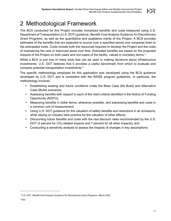# 2 Methodological Framework

The BCA conducted for this Project includes monetized benefits and costs measured using U.S. Department of Transportation (U.S. DOT) guidance, *Benefit-Cost Analysis Guidance for Discretionary Grant Programs*, as well as the quantitative and qualitative merits of the Project. A BCA provides estimates of the benefits that are expected to accrue over a specified period and compares them to the anticipated costs. Costs include both the resources required to develop the Project and the costs of maintaining the new or improved asset over time. Estimated benefits are based on the projected impacts of the Project on both users and non-users of the facility, valued in monetary terms.<sup>3</sup>

While a BCA is just one of many tools that can be used in making decisions about infrastructure investments, U.S. DOT believes that it provides a useful benchmark from which to evaluate and compare potential transportation investments.<sup>4</sup>

The specific methodology employed for this application was developed using the BCA guidance developed by U.S. DOT and is consistent with the RAISE program guidelines. In particular, the methodology involves:

- Establishing existing and future conditions under the Base Case (No Build) and Alternative Case (Build) scenarios;
- Assessing benefits with respect to each of the merit criteria identified in the Notice of Funding Opportunity (NOFO);
- Measuring benefits in dollar terms, whenever possible, and expressing benefits and costs in a common unit of measurement;
- Using U.S. DOT guidance for the valuation of safety benefits and reductions in air emissions, while relying on industry best practice for the valuation of other effects;
- Discounting future benefits and costs with the real discount rates recommended by the U.S. DOT (3 percent for  $CO_2$ -related impacts and 7 percent for all other impacts); and
- Conducting a sensitivity analysis to assess the impacts of changes in key assumptions.

*<sup>3</sup> U.S. DOT, Benefit-Cost Analysis Guidance for Discretionary Grant Programs, March 2022* 

*<sup>4</sup> Ibid.*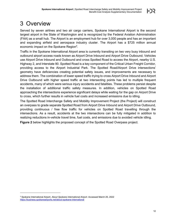# 3 Overview

Served by seven airlines and two air cargo carriers, Spokane International Airport is the second largest airport in the State of Washington and is recognized by the Federal Aviation Administration (FAA) as a small hub. The Airport is an employment hub for over 3,000 people and has an important and expanding airfield and aerospace industry cluster. The Airport has a \$725 million annual economic impact on the Spokane Region<sup>5</sup>.

Traffic in the Spokane International Airport area is currently transiting on two very busy inbound and outbound airport access roads known as Airport Drive Inbound and Airport Drive Outbound. Vehicles use Airport Drive Inbound and Outbound and cross Spotted Road to access the Airport, nearby U.S. Highway 2, and Interstate 90. Spotted Road is a key component of the Critical Urban Freight Corridor, providing access to the Airport Industrial Park. The Spotted Road/Airport Drive intersections' geometry have deficiencies creating potential safety issues, and improvements are necessary to address them. The combination of lower speed traffic trying to cross Airport Drive Inbound and Airport Drive Outbound with higher speed traffic at two intersecting points has led to multiple frequent accidents, many of which were serious injury accidents and fatalities. These problems persist despite the installation of additional traffic safety measures. In addition, vehicles on Spotted Road approaching the intersections experience significant delays while waiting for the gap on Airport Drive to cross, which further results in vehicle fuel costs and increased emissions due to idling.

The Spotted Road Interchange Safety and Mobility Improvement Project (the Project) will construct an overpass to grade separate Spotted Road from Airport Drive Inbound and Airport Drive Outbound, providing continuous / free flow traffic for vehicles on Spotted Road travelling through the intersections. As a result, accidents at the two intersections can be fully mitigated in addition to realizing reductions in-vehicle travel time, fuel costs, and emissions due to avoided vehicle idling.

**Figure 2** below highlights the proposed concept of the Spotted Road Overpass project.

<sup>5</sup> Spokane International Airport. *About Spokane International Airport.* Accessed March 25, 2022 https://business.spokaneairports.net/about-spokane-international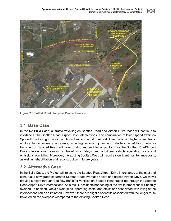

**Figure 2: Spotted Road Overpass Project Concept** 

### **3.1 Base Case**

In the No Build Case, all traffic travelling on Spotted Road and Airport Drive roads will continue to interface at the Spotted Road/Airport Drive intersections. The combination of lower speed traffic on Spotted Road trying to cross the inbound and outbound of Airport Drive roads with higher speed traffic is likely to cause many accidents, including serious injuries and fatalities. In addition, vehicles transiting on Spotted Road will have to stop and wait for a gap to cross the Spotted Road/Airport Drive intersections, resulting in travel time delays, and additional vehicle operating costs and emissions from idling. Moreover, the existing Spotted Road will require significant maintenance costs, as well as rehabilitation and reconstruction in future years.

### **3.2 Alternative Case**

In the Build Case, the Project will relocate the Spotted Road/Airport Drive interchange to the east and construct a new grade-separated Spotted Road overpass above and across Airport Drive, which will provide straight through free flow traffic for vehicles on Spotted Road travelling through the Spotted Road/Airport Drive intersections. As a result, accidents happening at the two intersections will be fully avoided. In addition, vehicle wait times, operating costs, and emissions associated with idling at the intersections can be eliminated. However, there are slight disbenefits associated with the longer route travelled on the overpass (compared to the existing Spotted Road).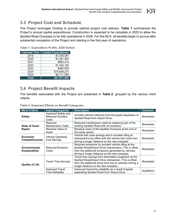### **3.3 Project Cost and Schedule**

The Project leverages funding to provide optimal project cost delivery. **Table 1** summarizes the Project's annual capital expenditures. Construction is expected to be complete in 2025 to allow the Spotted Road Overpass to be fully operational in 2026. For this BCA, all benefits begin to accrue after substantial completion of the Project and starting in the first year of operations.

|  | Table 1: Expenditure Profile, 2020 Dollars |  |  |
|--|--------------------------------------------|--|--|
|  |                                            |  |  |

| <b>Calendar Year</b> | <b>Capital Expenditures</b> |
|----------------------|-----------------------------|
| 2019                 | \$1,036,097                 |
| 2020                 | \$1,381,462                 |
| 2021                 | \$863,414                   |
| 2022                 | \$1,440,150                 |
| 2023                 | \$480,050                   |
| 2024                 | \$15,659,231                |
| 2025                 | \$6,711,099                 |
| <b>Total</b>         | \$27,571,503                |

### **3.4 Project Benefit Impacts**

The benefits associated with the Project are presented in **Table 2**, grouped by the various merit criteria.

| <b>Merit Criteria</b>                         | <b>Impact Categories</b>                                | <b>Description</b>                                                                                                                                                                                                      | <b>Inclusion</b> |
|-----------------------------------------------|---------------------------------------------------------|-------------------------------------------------------------------------------------------------------------------------------------------------------------------------------------------------------------------------|------------------|
| <b>Safety</b>                                 | Improved Safety and<br><b>Reduced Accident</b><br>Costs | Avoided vehicle collisions from the grade-separation of<br>Spotted Road from Airport Drive.                                                                                                                             | Monetized        |
| <b>State of Good</b>                          | Reduced<br>Maintenance Costs                            | Reduced maintenance costs by replacing part of the<br>existing Spotted Road with an overpass.                                                                                                                           | Monetized        |
| Repair                                        | Residual Value of<br>Asset                              | Residual value of the Spotted Overpass at the end of<br>the study period.                                                                                                                                               | Monetized        |
| <b>Economic</b><br><b>Competitiveness</b>     | <b>Vehicle Operating</b><br>Cost Savings                | Vehicle fuel costs savings due to avoided idling at<br>intersections but offset with the vehicle fuel costs from<br>driving a longer distance on the new overpass.                                                      | Monetized        |
| <b>Environmental</b><br><b>Sustainability</b> | <b>Reduced Emission</b><br>Costs                        | Reduced emissions by avoided vehicle idling at the<br>Spotted Road/Airport Drive intersections. This is offset<br>from the additional emissions generated by vehicles<br>driving a longer distance on the new overpass. | Monetized        |
| <b>Quality of Life</b>                        | <b>Travel Time Savings</b>                              | Travel time savings from eliminated congestion at the<br>Spotted Road/Airport Drive intersection. This is offset<br>from the additional travel time due to vehicles driving a<br>longer distance on the new overpass.   | Monetized        |
|                                               | Improved Travel<br>Time Reliability                     | Improved travel time reliability as a result of grade<br>separating Spotted Road from Airport Drive.                                                                                                                    | Qualitative      |

FJS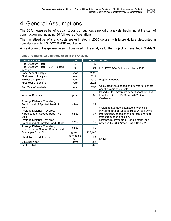# 4 General Assumptions

The BCA measures benefits against costs throughout a period of analysis, beginning at the start of construction and including 30 full years of operations.

The monetized benefits and costs are estimated in 2020 dollars, with future dollars discounted in compliance with U.S. DOT RAISE requirements.

A breakdown of the general assumptions used in the analysis for the Project is presented in **Table 3**.

| <b>Variable Name</b>                                                           | <b>Unit</b>       | <b>Value</b> | <b>Source</b>                                                                                                                 |
|--------------------------------------------------------------------------------|-------------------|--------------|-------------------------------------------------------------------------------------------------------------------------------|
| <b>Real Discount Factor</b>                                                    | $\frac{0}{0}$     | 7%           |                                                                                                                               |
| Real Discount Factor - CO <sub>2</sub> -Related<br>Impacts                     | $\frac{0}{0}$     | 3%           | U.S. DOT BCA Guidance, March 2022.                                                                                            |
| <b>Base Year of Analysis</b>                                                   | vear              | 2020         |                                                                                                                               |
| <b>First Year of Analysis</b>                                                  | vear              | 2019         |                                                                                                                               |
| <b>Project Completion</b>                                                      | year              | 2025         | <b>Project Schedule</b>                                                                                                       |
| <b>First Year of Benefits</b>                                                  | year              | 2026         |                                                                                                                               |
| End Year of Analysis                                                           | year              | 2055         | Calculated value based on first year of benefit<br>and the years of benefits                                                  |
| <b>Years of Benefits</b>                                                       | years             | 30           | Based on the maximum benefit years for BCA<br>from the U.S. DOT's March 2022 BCA<br>Guidance.                                 |
| Average Distance Travelled,<br>Southbound of Spotted Road - No<br><b>Build</b> | miles             | 0.9          | Weighted average distances for vehicles                                                                                       |
| Average Distance Travelled,<br>Northbound of Spotted Road - No<br><b>Build</b> | miles             | 0.7          | travelling through Spotted Road/Airport Drive<br>intersections, based on the percent share of<br>traffic from each direction. |
| Average Distance Travelled,<br>Southbound of Spotted Road - Build              | miles             | 1.0          | Distance retrieved from Google maps, and<br>provided by JUB Airport Traffic Study, 2015.                                      |
| Average Distance Travelled,<br>Northbound of Spotted Road - Build              | miles             | 1.2          |                                                                                                                               |
| Grams per Short Ton                                                            | grams             | 907,185      |                                                                                                                               |
| Short Ton per Metric Ton                                                       | ton/metric<br>ton | 1.1          | Known                                                                                                                         |
| Days per Year                                                                  | days              | 365          |                                                                                                                               |
| Feet per Mile                                                                  | feet              | 5,208        |                                                                                                                               |

**Table 3: General Assumptions Used in the Analysis** 

F)?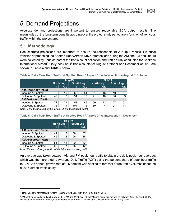# 5 Demand Projections

Accurate demand projections are important to ensure reasonable BCA output results. The magnitudes of the long-term benefits accruing over the project study period are a function of vehicular traffic within the project area.

### **5.1 Methodology**

Robust traffic projections are important to ensure the reasonable BCA output results. Historical vehicles approaching the Spotted Road/Airport Drive intersections during the AM and PM peak hours were collected by Iteris as part of the traffic count collection and traffic study conducted for Spokane International Airport<sup>6</sup>. Daily peak hour<sup>7</sup> traffic counts for August, October and December of 2019 are shown in **Table 4** and **Table 5** below.

|                             | <b>Aug-19</b>    |    |                  |     | <b>Oct-19</b> |                  |                  |     |
|-----------------------------|------------------|----|------------------|-----|---------------|------------------|------------------|-----|
|                             | <b>North Leg</b> |    | <b>South Leg</b> |     |               | <b>North Leg</b> | <b>South Leg</b> |     |
|                             | R/L              |    |                  | R/L |               | R/L              |                  | R/L |
| <b>AM Peak Hour Traffic</b> |                  |    |                  |     |               |                  |                  |     |
| Inbound & Spotted           | 40               | 16 | 58               | 54  | 61            | 16               | 40               | 61  |
| Outbound & Spotted          | 49               | 7  | 94               | 10  | 71            | 10               | 80               | 9   |
| <b>PM Peak Hour Traffic</b> |                  |    |                  |     |               |                  |                  |     |
| Inbound & Spotted           | 71               | 29 | 58               | 66  | 60            | 13               | 57               | 61  |
| Outbound & Spotted          | 75               | 11 | 104              | 12  | 80            | 4                | 104              | 18  |

**Table 4: Daily Peak Hour Traffic at Spotted Road / Airport Drive Intersection – August & October** 

*Note: T means through traffic, while R/L means turning traffic* 

**Table 5: Daily Peak Hour Traffic at Spotted Road / Airport Drive Intersection – December** 

|                             | <b>Dec-19</b> |                  |        |                  |  |  |  |
|-----------------------------|---------------|------------------|--------|------------------|--|--|--|
|                             |               | <b>North Leg</b> |        | <b>South Leg</b> |  |  |  |
|                             |               | R/L              |        | R/L              |  |  |  |
| <b>AM Peak Hour Traffic</b> |               |                  |        |                  |  |  |  |
| Inbound & Spotted           | 44            | 13               | 58     | 57               |  |  |  |
| Outbound & Spotted          | 46            | 8                | 96     | 15               |  |  |  |
| <b>PM Peak Hour Traffic</b> |               |                  |        |                  |  |  |  |
| Inbound & Spotted           | 54            | 11               | 32     | 52               |  |  |  |
| Outbound & Spotted          | 68            |                  | 75     | 12               |  |  |  |
|                             | ---           |                  | $\sim$ | ---<br>$\sim$    |  |  |  |

*Note: T means through traffic, while R/L means turning traffic* 

An average was taken between AM and PM peak hour traffic to obtain the daily peak hour average, which was then prorated to Average Daily Traffic (ADT) using the percent share of peak hour traffic to ADT. An annual growth rate of 2.5 percent was applied to forecast future traffic volumes based on a 2015 airport traffic study.

<sup>6</sup> Iteris. *Spokane International Airport – Traffic Count Collection and Traffic Study*. 2019.

 $^7$  AM peak hours is defined as between 10:45 AM and 11:45 AM, while PM peak hours are defined as between 1:00 PM and 2:00 PM. Definition obtained from: Iteris. *Spokane International Airport – Traffic Count Collection and Traffic Study*. 2019.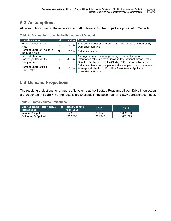## **5.2 Assumptions**

All assumptions used in the estimation of traffic demand for the Project are provided in **Table 6**.

| <b>Variable Name</b>         | <b>Unit</b>  | Value | <b>Source</b>                                                    |
|------------------------------|--------------|-------|------------------------------------------------------------------|
| <b>Traffic Annual Growth</b> | 2.5%<br>$\%$ |       | Spokane International Airport Traffic Study, 2015. Prepared by   |
| Rate                         |              |       | <b>JUB Engineers Inc.</b>                                        |
| Percent Share of Trucks in   | $\%$         | 20.0% | Calculated value.                                                |
| the Study Area               |              |       |                                                                  |
| Percent Share of             |              |       | Average percent share of passenger cars in the area.             |
| Passenger Cars in the        | $\%$         | 80.0% | Information retrieved from Spokane International Airport Traffic |
| Study Area                   |              |       | Count Collection and Traffic Study, 2019, prepared by Iteris.    |
| Percent Share of Peak        |              |       | Calculated based on the percent share of peak hour counts over   |
| Hour Traffic                 | $\%$         | 8.4%  | average daily traffic on Flightline Avenue near Spokane          |
|                              |              |       | International Airport.                                           |

**Table 6: Assumptions used in the Estimation of Demand** 

# **5.3 Demand Projections**

The resulting projections for annual traffic volume at the Spotted Road and Airport Drive intersection are presented in **Table 7**. Further details are available in the accompanying BCA spreadsheet model.

**Table 7: Traffic Volume Projections** 

| <b>Spotted Road/Airport Drive</b><br><b>Intersection</b> | In Project Opening<br><b>Year (2026)</b> | 2036      | 2046      |
|----------------------------------------------------------|------------------------------------------|-----------|-----------|
| Inbound & Spotted                                        | 978.016                                  | 1,251,943 | 1,602,593 |
| Outbound & Spotted                                       | 962.650                                  | 1,251,943 | 1,602,593 |

FJS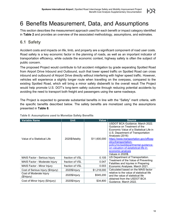# 6 Benefits Measurement, Data, and Assumptions

This section describes the measurement approach used for each benefit or impact category identified in **Table 2** and provides an overview of the associated methodology, assumptions, and estimates.

### **6.1 Safety**

Accident costs and impacts on life, limb, and property are a significant component of road user costs. Road safety is a key economic factor in the planning of roads, as well as an important indicator of transportation efficiency, while outside the economic context, highway safety is often the subject of public concern.

The proposed Project would contribute to full accident mitigation by grade separating Spotted Road from Airport Drive Inbound and Outbound, such that lower speed traffic on Spotted Road can cross inbound and outbound of Airport Drive directly without interfering with higher speed traffic. However, vehicles will experience a slightly longer route when travelling on the overpass, compared to the existing Spotted Road, which will bring a minor safety disbenefit to the overall result The Project would help promote U.S. DOT's long-term safety outcome through reducing potential accidents by avoiding the need to transport both freight and passengers using the same roadways.

The Project is expected to generate substantial benefits in line with the "Safety" merit criteria, with the specific benefits described below. The safety benefits are monetized using the assumptions presented in **Table 8**.

| <b>Variable Name</b>                   | <b>Unit</b>     | <b>Value</b> | <b>Source</b>                                                                                                                                                                                                                                                                                                                                                    |
|----------------------------------------|-----------------|--------------|------------------------------------------------------------------------------------------------------------------------------------------------------------------------------------------------------------------------------------------------------------------------------------------------------------------------------------------------------------------|
| Value of a Statistical Life            | 2020\$/fatality | \$11,600,000 | USDOT BCA Guidance. March 2022.<br>Guidance on Treatment of the<br>Economic Value of a Statistical Life in<br>U.S. Department of Transportation<br>Analyses (2016)<br>https://www.transportation.gov/officep<br>olicy/transportation-<br>policy/reviseddepartmental-quidance-<br>on-valuation-of-astatistical-life-in-<br>economic-analysis<br>Values in 2020\$. |
| MAIS Factor - Serious Injury           | fraction of VSL | 0.105        | US Department of Transportation.                                                                                                                                                                                                                                                                                                                                 |
| MAIS Factor - Moderate Injury          | fraction of VSL | 0.047        | Treatment of the Value of Preventing<br>Fatalities and Injuries in Preparing                                                                                                                                                                                                                                                                                     |
| MAIS Factor - Minor Injury             | fraction of VSL | 0.003        | Economic Analyses. March 2021.                                                                                                                                                                                                                                                                                                                                   |
| Cost of Serious Injury (\$/injury)     | 2020\$/injury   | \$1,218,000  | Calculated based on the MAIS factor                                                                                                                                                                                                                                                                                                                              |
| Cost of Moderate Injury<br>(\$/injury) | 2020\$/injury   | \$545,200    | relative to the value of statistical life<br>and the value of statistical life                                                                                                                                                                                                                                                                                   |
| Cost of Minor Injury (\$/injury)       | 2020\$/injury   | \$34,800     | obtained from the USDOT BCA<br>Guidance, March 2022.                                                                                                                                                                                                                                                                                                             |

#### **Table 8: Assumptions used to Monetize Safety Benefits**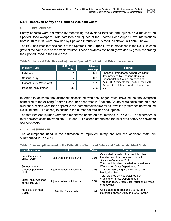#### **6.1.1 Improved Safety and Reduced Accident Costs**

#### **6.1.1.1 METHODOLOGY**

Safety benefits were estimated by monetizing the avoided fatalities and injuries as a result of the Spotted Road overpass. Total fatalities and injuries at the Spotted Road/Airport Drive intersections from 2010 to 2019 were provided by Spokane International Airport, as shown in **Table 9** below.

The BCA assumes that accidents at the Spotted Road/Airport Drive intersections in the No Build case grow at the same rate as the traffic volume. These accidents can be fully avoided by grade separating the Spotted Road in the Build case.

**Table 9: Historical Fatalities and Injuries at Spotted Road / Airport Drive Intersections** 

| <b>Incident Type</b>      | 2010-2019<br>Total | 10-Year<br>Average | <b>Source</b>                                                                    |
|---------------------------|--------------------|--------------------|----------------------------------------------------------------------------------|
| <b>Fatalities</b>         |                    | 0.10               | Spokane International Airport. Accident                                          |
| Serious Injury            | າ                  | 0.20               | data provided by Spokane Regional<br>Transportation Council on behalf of         |
| Evident Injury (Moderate) |                    | 1.70               | WSDOT. Accidents for Spotted Road with<br>Airport Drive Inbound and Outbound are |
| Possible Injury (Minor)   | 30                 | 3.00               | used.                                                                            |

In order to estimate the disbenefit associated with the longer route travelled on the overpass compared to the existing Spotted Road, accident rates in Spokane County were calculated on a per mile basis, which were then applied to the incremental vehicle miles travelled (difference between the No Build and Build cases) to estimate the number of fatalities and injuries.

The fatalities and injuries were then monetized based on assumptions in **Table 10**. The difference in total accident costs between No Build and Build cases determines the improved safety and avoided accident costs.

#### **6.1.1.2 ASSUMPTIONS**

The assumptions used in the estimation of improved safety and reduced accident costs are summarized in **Table 10**.

| <b>Variable Name</b>                           | Unit                        | Value | <b>Source</b>                                                                                                                                                |  |
|------------------------------------------------|-----------------------------|-------|--------------------------------------------------------------------------------------------------------------------------------------------------------------|--|
| <b>Fatal Crashes per</b><br><b>Million VMT</b> | fatal crashes/ million ymt  | 0.01  | Calculated based on total vehicle miles<br>travelled and total crashes by type in<br>Spokane County in 2019.<br>Total vehicle miles travelled retrieved from |  |
| Serious Injury<br>Crashes per Million<br>VMT   | injury crashes/ million vmt | 0.03  | Washington State Department of<br>Transportation, Highway Performance<br>Monitoring System.                                                                  |  |
| Minor Injury Crashes<br>per Million VMT        | injury crashes/ million vmt | 0.59  | Total crashes by type obtained from<br>Washington State Department of<br>Transportation, Crash Data Portal on all types<br>of roadways.                      |  |
| <b>Fatalities per Fatal</b><br>Crash           | fatalities/fatal crash      | 1.02  | Calculated from Spokane County crash<br>statistics between 2016 and 2020. Crash                                                                              |  |

**Table 10: Assumptions used in the Estimation of Improved Safety and Reduced Accident Costs**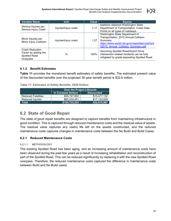| <b>Variable Name</b>                                                       | <b>Unit</b>           | Value | <b>Source</b>                                                                                                                                                            |
|----------------------------------------------------------------------------|-----------------------|-------|--------------------------------------------------------------------------------------------------------------------------------------------------------------------------|
| Serious Injuries per<br>Serious Injury Crash                               | injuries/injury crash | 1.17  | statistics obtained Washington State<br>Department of Transportation, Crash Data<br>Portal on all types of roadways.                                                     |
| Minor Injuries per<br>Minor Injury Collision                               | injuries/injury crash | 1.27  | Washington State Department of<br>Transportation. 2015 Annual Collision<br>Summary.<br>https://www.wsdot.wa.gov/mapsdata/crash/pd<br>f/2015 Annual Collision Summary.pdf |
| <b>Crash Reduction</b><br>Factor by adding the<br>Spotted Road<br>Overpass | %                     | 100%  | Assuming Spotted Road/Airport Drive<br>intersection related incidents can be fully<br>mitigated by grade separating Spotted Road.                                        |

#### **6.1.2 Benefit Estimates**

**Table 11** provides the monetized benefit estimates of safety benefits. The estimated present value of the discounted benefits over the projected 30-year benefit period is \$32.6 million.

| Table TT: EStimates of Safety Benefits, 2020 Dollars |
|------------------------------------------------------|
| <b>Over the Project Lifecycle</b>                    |

**Table 11: Estimates of Safety Benefits, 2020 Dollars** 

|                           | <b>Over the Project Lifecycle</b> |              |  |
|---------------------------|-----------------------------------|--------------|--|
|                           | In Constant Dollars               | 'Discounted  |  |
| <b>Reduced Fatalities</b> | \$59,197,802                      | \$15.477.132 |  |
| Reduced Injuries          | \$65,534,451                      | \$17,133,835 |  |
| Total                     | \$124,732,253                     | \$32,610,967 |  |

### **6.2 State of Good Repair**

The state of good repair benefits are designed to capture benefits from maintaining infrastructure in good condition. This is captured through reduced maintenance costs and the residual value of assets. The residual value captures any useful life left on the assets constructed, and the reduced maintenance costs captures changes in maintenance costs between the No Build and Build Cases.

#### **6.2.1 Reduced Maintenance Costs**

#### **6.2.1.1 METHODOLOGY**

The existing Spotted Road has been aging, and an increasing amount of maintenance costs have been observed during the past few years as a result of increasing rehabilitation and reconstruction of part of the Spotted Road. This can be reduced significantly by replacing it with the new Spotted Road overpass. Therefore, the reduced maintenance costs captured the difference in maintenance costs between Build and No Build cases.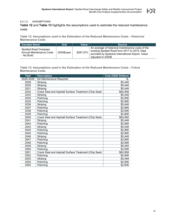#### **6.2.1.2 ASSUMPTIONS**

**Table 12** and **Table 13** highlights the assumptions used to estimate the reduced maintenance costs.

**Table 12: Assumptions used in the Estimation of the Reduced Maintenance Costs – Historical Maintenance Costs** 

| l Variable Name                                                 | Unit        | Value     | <b>Source</b>                                                                                                                                                                 |
|-----------------------------------------------------------------|-------------|-----------|-------------------------------------------------------------------------------------------------------------------------------------------------------------------------------|
| Spotted Road Overpass<br>Annual Maintenance Costs<br>- No Build | 2020\$/year | \$287,574 | An average of historical maintenance costs of the<br>existing Spotted Road from 2017 to 2019. Data<br>provided by Spokane International Airport. Value<br>adjusted to 2020\$. |

**Table 13: Assumptions used in the Estimation of the Reduced Maintenance Costs – Future Maintenance Costs** 

| Year      | <b>Description</b>                                   | Cost (2020 Dollars) |
|-----------|------------------------------------------------------|---------------------|
| 2026-2028 | No Maintenance Required                              | \$-                 |
| 2029      | Striping                                             | \$5,448             |
| 2030      | Striping                                             | \$5,448             |
| 2031      | Striping                                             | \$5,448             |
| 2032      | Crack Seal and Asphalt Surface Treatment (Chip Seal) | \$62,958            |
| 2033      | Striping                                             | \$5,448             |
| 2034      | Patching                                             | \$2,906             |
| 2035      | Patching                                             | \$2,906             |
| 2036      | Striping                                             | \$5,448             |
| 2037      | Patching                                             | \$2,906             |
| 2038      | Patching                                             | \$2,906             |
| 2039      | Patching                                             | \$2,906             |
| 2040      | Crack Seal and Asphalt Surface Treatment (Chip Seal) | \$62,958            |
| 2041      | Striping                                             | \$5,448             |
| 2042      | Patching                                             | \$2,906             |
| 2043      | Striping                                             | \$5,448             |
| 2044      | Patching                                             | \$2,906             |
| 2045      | Patching                                             | \$2,906             |
| 2046      | Striping                                             | \$5,448             |
| 2047      | Patching                                             | \$2,906             |
| 2048      | Patching                                             | \$2,906             |
| 2049      | Striping                                             | \$5,448             |
| 2050      | Patching                                             | \$2,906             |
| 2051      | Crack Seal and Asphalt Surface Treatment (Chip Seal) | \$62,958            |
| 2052      | Patching                                             | \$2,906             |
| 2053      | Striping                                             | \$5,448             |
| 2054      | Patching                                             | \$2,906             |
| 2055      | Patching                                             | \$2,906             |

F3S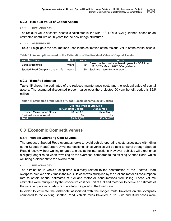#### **6.2.2 Residual Value of Capital Assets**

#### **6.2.2.1 METHODOLOGY**

The residual value of capital assets is calculated in line with U.S. DOT's BCA guidance, based on an estimated useful life of 30 years for the new bridge structures.

#### **6.2.2.2 ASSUMPTIONS**

**Table 14** highlights the assumptions used in the estimation of the residual value of the capital assets.

**Table 14: Assumptions used in the Estimation of the Residual Value of Capital Assets** 

| Variable Name                     | <b>Unit</b> | Value | <b>Source</b>                                                                          |
|-----------------------------------|-------------|-------|----------------------------------------------------------------------------------------|
| Years of Benefits                 | vears       | 30    | Based on the maximum benefit years for BCA from<br>U.S. DOT's March 2022 BCA guidance. |
| Spotted Road Overpass Useful Life | vears       | 30    | Spokane International Airport.                                                         |

#### **6.2.3 Benefit Estimates**

**Table 15** shows the estimates of the reduced maintenance costs and the residual value of capital assets. The estimated discounted present value over the projected 20-year benefit period is \$2.5 million.

**Table 15: Estimates of the State of Good Repair Benefits, 2020 Dollars** 

|                                  | <b>Over the Project Lifecycle</b> |                   |  |  |
|----------------------------------|-----------------------------------|-------------------|--|--|
|                                  | <b>In Constant Dollars</b>        | <b>Discounted</b> |  |  |
| <b>Reduced Maintenance Costs</b> | \$8,343,178                       | \$2.466.457       |  |  |
| Residual Value of Asset          | ზ -                               | Ֆ-                |  |  |
| Total                            | \$8,343,178                       | $1$ \$2,466,457   |  |  |

### **6.3 Economic Competitiveness**

#### **6.3.1 Vehicle Operating Cost Savings**

The proposed Spotted Road overpass looks to avoid vehicle operating costs associated with idling at the Spotted Road/Airport Drive intersections, since vehicles will be able to travel through Spotted Road directly, without waiting for gaps to cross at the intersections. However, vehicles will experience a slightly longer route when travelling on the overpass, compared to the existing Spotted Road, which will bring a disbenefit to the overall result.

#### **6.3.1.1 METHODOLOGY**

The elimination in vehicle idling time is directly related to the construction of the Spotted Road overpass. Vehicle delay time in the No Build case was multiplied by the fuel and motor oil consumption rate to obtain annual estimates of fuel and motor oil consumptions from idling. These volume estimates were multiplied by the respective cost per unit of fuel and motor oil to derive an estimate of the vehicle operating costs which are fully mitigated in the Build case.

In order to estimate the disbenefit associated with the longer route travelled on the overpass compared to the existing Spotted Road, vehicle miles travelled in No Build and Build cases were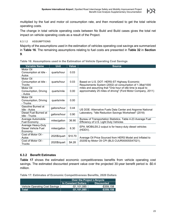multiplied by the fuel and motor oil consumption rate, and then monetized to get the total vehicle operating costs.

The change in total vehicle operating costs between No Build and Build cases gives the total net impact on vehicle operating costs as a result of the Project.

#### **6.3.1.2 ASSUMPTIONS**

Majority of the assumptions used in the estimation of vehicles operating cost savings are summarized in **Table 16**. The remaining assumptions relating to fuel costs are presented in **Table 32** in **Section 9**.

| Variable Name                                        | <b>Unit</b>  | <b>Value</b> | <b>Source</b>                                                                                                               |
|------------------------------------------------------|--------------|--------------|-----------------------------------------------------------------------------------------------------------------------------|
| Motor Oil<br>Consumption at Idle -<br>Autos          | quarts/hour  | 0.03         |                                                                                                                             |
| Motor Oil<br>Consumption at Idle -<br><b>Trucks</b>  | quarts/hour  | 0.03         | Based on U.S. DOT: HERS-ST Highway Economic<br>Requirements System (2002) oil consumption of 1.38qt/1000                    |
| Motor Oil<br>Consumption, Driving<br>- Autos         | quarts/mile  | 0.00         | miles and assuming that "One hour of idle time is equal to<br>approximately 25 miles of driving" (Ford Motor Company, 2011) |
| Motor Oil<br>Consumption, Driving<br>- Trucks        | quarts/mile  | 0.00         |                                                                                                                             |
| Gasoline Burned at<br>Idle - Autos                   | gallons/hour | 0.44         | US DOE: Alternative Fuels Data Center and Argonne National                                                                  |
| Diesel Fuel Burned at<br>Idle - Trucks               | gallons/hour | 0.90         | Laboratory, "Idle Reduction Savings Worksheet" (2018)                                                                       |
| Average Automobile<br>Fuel Economy                   | miles/gallon | 36.90        | Bureau of Transportation Statistics. Table 4-23 Average Fuel<br>Efficiency of U.S. Light Duty Vehicles                      |
| Average Heavy-Duty<br>Diesel Vehicle Fuel<br>Economy | miles/gallon | 6.30         | EPA. MOBILE6.2 output is for heavy-duty diesel vehicles<br>(HDDV).                                                          |
| Cost of Motor Oil -<br>Autos                         | 2020\$/quart | \$10.70      | Average Oil Price Sourced from HERS Model and Inflated to                                                                   |
| Cost of Motor Oil -<br>Trucks                        | 2020\$/quart | \$4.28       | 2020\$ by Motor Oil CPI (BLS CUUR0000SS47021).                                                                              |

**Table 16: Assumptions used in the Estimation of Vehicle Operating Cost Savings** 

#### **6.3.2 Benefit Estimates**

**Table 17** shows the estimated economic competitiveness benefits from vehicle operating cost savings. The estimated discounted present value over the projected 30-year benefit period is -\$0.4 million.

**Table 17: Estimates of Economic Competitiveness Benefits, 2020 Dollars** 

|                                |                            | <b>Over the Project Lifecycle</b> |
|--------------------------------|----------------------------|-----------------------------------|
|                                | <b>In Constant Dollars</b> | <b>Discounted</b>                 |
| Vehicle Operating Cost Savings | -\$1.101.085               | $-$ \$359,158                     |
| Total                          | $-$1,101,085$              | $-$ \$359.158                     |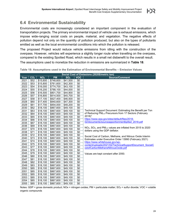### **6.4 Environmental Sustainability**

Environmental costs are increasingly considered an important component in the evaluation of transportation projects. The primary environmental impact of vehicle use is exhaust emissions, which impose wide-ranging social costs on people, material, and vegetation. The negative effects of pollution depend not only on the quantity of pollution produced, but also on the types of pollutants emitted as well as the local environmental conditions into which the pollution is released.

The proposed Project would reduce vehicle emissions from idling with the construction of the overpass. However, vehicles will experience a slightly longer route when travelling on the overpass, compared to the existing Spotted Road, which results in a small net disbenefit to the overall result.

The assumptions used to monetize the reduction in emissions are summarized in **Table 18**.

| Social Cost of Emissions (2020\$/metric ton) |                 |                      |           |                 |                 |                                                                                                                                       |
|----------------------------------------------|-----------------|----------------------|-----------|-----------------|-----------------|---------------------------------------------------------------------------------------------------------------------------------------|
| Year                                         | CO <sub>2</sub> | NO <sub>X</sub>      | <b>PM</b> | SO <sub>2</sub> | <b>VOC</b>      | <b>Source/Comment</b>                                                                                                                 |
| 2021                                         | \$52            | \$15,600             | \$748,600 | \$41,500        | \$0             |                                                                                                                                       |
| 2022                                         | \$53            | \$15,800             | \$761,600 | \$42,300        | \$0             |                                                                                                                                       |
| 2023                                         | \$54            | \$16,000             | \$774,700 | \$43,100        | \$0             |                                                                                                                                       |
| 2024                                         | \$55            | \$16,200             | \$788,100 | \$44,000        | \$0             |                                                                                                                                       |
| 2025                                         | \$56            | \$16,500             | \$801,700 | \$44,900        | \$0             |                                                                                                                                       |
| 2026                                         | \$57            | \$16,800             | \$814,500 | \$45,700        | \$0             |                                                                                                                                       |
| 2027                                         | \$58            | \$17,100             | \$827,400 | \$46,500        | \$0             |                                                                                                                                       |
| 2028                                         | \$60            | $\overline{$}17,400$ | \$840,600 | \$47,300        | \$0             |                                                                                                                                       |
| 2029                                         | \$61            | \$17,700             | \$854,000 | \$48,200        | \$0             |                                                                                                                                       |
| 2030                                         | \$62            | \$18,100             | \$867,600 | \$49,100        | \$0             |                                                                                                                                       |
| 2031                                         | \$63            | \$18,100             | \$867,600 | \$49,100        | \$0             | Technical Support Document: Estimating the Benefit per Ton                                                                            |
| 2032                                         | \$64            | \$18,100             | \$867,600 | \$49,100        | \$0             | of Reducing PM <sub>2.5</sub> Precursors from 17 Sectors (February                                                                    |
| 2033                                         | \$65            | \$18,100             | \$867,600 | \$49,100        | \$0             | $2018$ )"                                                                                                                             |
| 2034                                         | \$66            | \$18,100             | \$867,600 | \$49,100        | \$0             | https://www.epa.gov/sites/default/files/2018-                                                                                         |
| 2035                                         | \$67            | \$18,100             | \$867,600 | \$49,100        | $\overline{$}0$ | 02/documents/sourceapportionmentbpttsd 2018.pdf                                                                                       |
| 2036                                         | \$69            | \$18,100             | \$867,600 | \$49,100        | \$0             |                                                                                                                                       |
| 2037                                         | \$70            | \$18,100             | \$867,600 | \$49,100        | $\overline{$}0$ | NO <sub>x</sub> , SO <sub>x</sub> , and PM <sub>2.5</sub> values are inflated from 2015 to 2020<br>dollars using the GDP deflator.    |
| 2038                                         | \$71            | $\overline{$}18,100$ | \$867,600 | \$49,100        | $\overline{$}0$ |                                                                                                                                       |
| 2039                                         | \$72            | \$18,100             | \$867,600 | \$49,100        | \$0             | Social Cost of Carbon, Methane, and Nitrous Oxide Interim                                                                             |
| 2040                                         | \$73            | \$18,100             | \$867,600 | \$49,100        | $\overline{50}$ | Estimates under Executive Order 13990 (February 2021)                                                                                 |
| 2041                                         | \$74            | \$18,100             | \$867,600 | \$49,100        | $\overline{50}$ | https://www.whitehouse.gov/wp-                                                                                                        |
| 2042                                         | \$75            | \$18,100             | \$867,600 | \$49,100        | \$0             | content/uploads/2021/02/TechnicalSupportDocument SocialC                                                                              |
| 2043                                         | \$77            | \$18,100             | \$867,600 | \$49,100        | \$0             | ostofCarbonMethaneNitrousOxide.pdf                                                                                                    |
| 2044                                         | \$78            | \$18,100             | \$867,600 | \$49,100        | \$0             |                                                                                                                                       |
| 2045                                         | \$79            | \$18,100             | \$867,600 | \$49,100        | \$0             | Values are kept constant after 2050.                                                                                                  |
| 2046                                         | \$80            | \$18,100             | \$867,600 | \$49,100        | \$0             |                                                                                                                                       |
| 2047                                         | \$81            | \$18,100             | \$867,600 | \$49,100        | \$0             |                                                                                                                                       |
| 2048                                         | \$82            | \$18,100             | \$867,600 | \$49,100        | \$0             |                                                                                                                                       |
| 2049                                         | \$83            | \$18,100             | \$867,600 | \$49,100        | \$0             |                                                                                                                                       |
| 2050                                         | \$85            | \$18,100             | \$867,600 | \$49,100        | \$0             |                                                                                                                                       |
| 2051                                         | \$85            | \$18,100             | \$867,600 | \$49,100        | \$0             |                                                                                                                                       |
| 2052                                         | \$85            | \$18,100             | \$867,600 | \$49,100        | \$0             |                                                                                                                                       |
| 2053                                         | \$85            | \$18,100             | \$867,600 | \$49,100        | \$0             |                                                                                                                                       |
| 2054                                         | \$85            | \$18,100             | \$867,600 | \$49,100        | \$0             |                                                                                                                                       |
| 2055                                         | \$85            | \$18,100             | \$867,600 | \$49,100        | \$0             |                                                                                                                                       |
|                                              |                 |                      |           |                 |                 | Notes: CDD - gross demostic product: NOv - pitrogen exides: DM - particulate matter: SO <sub>2</sub> - sulfur dievide: VOC - velatile |

**Table 18: Assumptions used in the Estimation of Environmental Benefits – Emission Values** 

gross domestic product; NOx = nitrogen oxides; PM = particulate matter;  $SO_2$  = sulfur dioxide; VOC = volatile organic compounds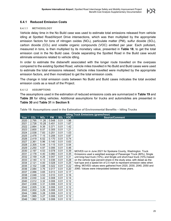#### **6.4.1 Reduced Emission Costs**

#### **6.4.1.1 METHODOLOGY**

Vehicle delay time in the No Build case was used to estimate total emissions released from vehicle idling at Spotted Road/Airport Drive intersections, which was then multiplied by the appropriate emission factors for tons of nitrogen oxides ( $NO<sub>x</sub>$ ), particulate matter (PM), sulfur dioxide (SO<sub>2</sub>), carbon dioxide (CO2) and volatile organic compounds (VOC) emitted per year. Each pollutant, measured in tons, is then multiplied by its monetary value, presented in **Table 18**, to get the total emission cost in the No Build case. Grade separating the Spotted Road in the Build case would eliminate emissions related to vehicle idling.

In order to estimate the disbenefit associated with the longer route travelled on the overpass compared to the existing Spotted Road, vehicle miles travelled in No Build and Build cases were used to estimate the total emissions released. Vehicle miles travelled were multiplied by the appropriate emission factors, and then monetized to get the total emission costs.

The change in total emission costs between No Build and Build cases indicates the total avoided emission costs as a result of the Project.

#### **6.4.1.2 ASSUMPTIONS**

The assumptions used in the estimation of reduced emissions costs are summarized in **Table 19** and **Table 20** for idling vehicles. Additional assumptions for trucks and automobiles are presented in **Table 30** and **Table 31** in **Section 9**.

|      |                 |                       |           |                 |            | iding Truck Emissions (grams/nour)                                       |
|------|-----------------|-----------------------|-----------|-----------------|------------|--------------------------------------------------------------------------|
| Year | CO <sub>2</sub> | <b>NO<sub>x</sub></b> | <b>PM</b> | SO <sub>2</sub> | <b>VOC</b> | <b>Source/Comment</b>                                                    |
| 2020 | 2,795           | 11.26                 | 0.548     | 0.01            | 1.96       |                                                                          |
| 2021 | 2,728           | 10.28                 | 0.451     | 0.01            | 1.67       |                                                                          |
| 2022 | 2.664           | 9.39                  | 0.371     | 0.01            | 1.42       |                                                                          |
| 2023 | 2,600           | 8.57                  | 0.305     | 0.01            | 1.21       |                                                                          |
| 2024 | 2,538           | 7.83                  | 0.251     | 0.01            | 1.03       |                                                                          |
| 2025 | 2,478           | 7.15                  | 0.206     | 0.01            | 0.87       |                                                                          |
| 2026 | 2.419           | 6.52                  | 0.170     | 0.01            | 0.74       |                                                                          |
| 2027 | 2,361           | 5.96                  | 0.140     | 0.01            | 0.63       |                                                                          |
| 2028 | 2.305           | 5.44                  | 0.115     | 0.01            | 0.54       |                                                                          |
| 2029 | 2,250           | 4.97                  | 0.095     | 0.01            | 0.46       |                                                                          |
| 2030 | 2.197           | 4.53                  | 0.078     | 0.01            | 0.39       | MOVES run in June 2021 for Spokane County, Washington. Truck             |
| 2031 | 2,178           | 4.40                  | 0.060     | 0.01            | 0.35       | Emissions used a weighted average of Passenger Truck (80%), Single       |
| 2032 | 2,159           | 4.26                  | 0.047     | 0.01            | 0.31       | unit long-haul truck (10%), and Single unit short-haul truck (10%) based |
| 2033 | 2,140           | 4.13                  | 0.036     | 0.01            | 0.28       | on the vehicle type percent share in the study area, with diesel as the  |
| 2034 | 2,121           | 4.00                  | 0.028     | 0.01            | 0.25       | fuel type and a speed bin of 2.5 mph to represent emission rates when    |
| 2035 | 2,102           | 3.88                  | 0.022     | 0.01            | 0.22       | idling. MOVES values were gathered from 2020, 2030, 2040, 2050 and       |
| 2036 | 2,084           | 3.76                  | 0.017     | 0.01            | 0.20       | 2060. Values were interpolated between those years.                      |
| 2037 | 2.066           | 3.65                  | 0.013     | 0.01            | 0.17       |                                                                          |
| 2038 | 2.048           | 3.53                  | 0.010     | 0.01            | 0.16       |                                                                          |
| 2039 | 2,030           | 3.42                  | 0.008     | 0.01            | 0.14       |                                                                          |
| 2040 | 2,012           | 3.32                  | 0.006     | 0.01            | 0.12       |                                                                          |
| 2041 | 2.009           | 3.31                  | 0.006     | 0.01            | 0.12       |                                                                          |
| 2042 | 2,005           | 3.30                  | 0.006     | 0.01            | 0.12       |                                                                          |
| 2043 | 2,002           | 3.29                  | 0.006     | 0.01            | 0.12       |                                                                          |
| 2044 | 1,999           | 3.28                  | 0.006     | 0.01            | 0.12       |                                                                          |
| 2045 | 1,995           | 3.27                  | 0.006     | 0.01            | 0.12       |                                                                          |
| 2046 | 1.992           | 3.26                  | 0.006     | 0.01            | 0.12       |                                                                          |

**Table 19: Assumptions used in the Estimation of Environmental Benefits – Idling Trucks** 

**Idling Truck Emissions (grams/hour)**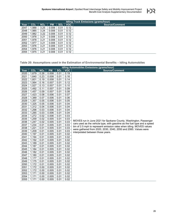|      | <b>Idling Truck Emissions (grams/hour)</b> |                       |           |                 |            |                |  |  |  |  |
|------|--------------------------------------------|-----------------------|-----------|-----------------|------------|----------------|--|--|--|--|
| Year | CO <sub>2</sub>                            | <b>NO<sub>x</sub></b> | <b>PM</b> | SO <sub>2</sub> | <b>VOC</b> | Source/Comment |  |  |  |  |
| 2047 | .988                                       | 3.25                  | 0.006     | 0.01            | 0.12       |                |  |  |  |  |
| 2048 | .985                                       | 3.24                  | 0.006     | 0.01            | 0.12       |                |  |  |  |  |
| 2049 | .982                                       | 3.22                  | 0.006     | 0.01            | 0.12       |                |  |  |  |  |
| 2050 | .978                                       | 3.21                  | 0.006     | 0.01            | 0.12       |                |  |  |  |  |
| 2051 | .978                                       | 3.21                  | 0.006     | 0.01            | 0.12       |                |  |  |  |  |
| 2052 | ,977                                       | 3.21                  | 0.006     | 0.01            | 0.12       |                |  |  |  |  |
| 2053 | .976                                       | 3.21                  | 0.006     | 0.01            | 0.12       |                |  |  |  |  |
| 2054 | .976                                       | 3.21                  | 0.006     | 0.01            | 0.12       |                |  |  |  |  |
| 2055 | .975                                       | 3.21                  | 0.006     | 0.01            | 0.12       |                |  |  |  |  |

**Table 20: Assumptions used in the Estimation of Environmental Benefits – Idling Automobiles** 

|      | <b>Idling Automobiles Emissions (grams/hour)</b> |      |           |                 |            |                                                                                                                                               |  |  |  |
|------|--------------------------------------------------|------|-----------|-----------------|------------|-----------------------------------------------------------------------------------------------------------------------------------------------|--|--|--|
| Year | CO <sub>2</sub>                                  | NOx  | <b>PM</b> | SO <sub>2</sub> | <b>VOC</b> | <b>Source/Comment</b>                                                                                                                         |  |  |  |
| 2020 | 1,679                                            | 0.28 | 0.008     | 0.01            | 0.19       |                                                                                                                                               |  |  |  |
| 2021 | 1,640                                            | 0.23 | 0.008     | 0.01            | 0.16       |                                                                                                                                               |  |  |  |
| 2022 | 1,601                                            | 0.19 | 0.008     | 0.01            | 0.14       |                                                                                                                                               |  |  |  |
| 2023 | 1,564                                            | 0.16 | 0.007     | 0.01            | 0.12       |                                                                                                                                               |  |  |  |
| 2024 | 1,527                                            | 0.13 | 0.007     | 0.01            | 0.10       |                                                                                                                                               |  |  |  |
| 2025 | 1,492                                            | 0.11 | 0.007     | 0.01            | 0.09       |                                                                                                                                               |  |  |  |
| 2026 | 1,457                                            | 0.09 | 0.007     | 0.01            | 0.08       |                                                                                                                                               |  |  |  |
| 2027 | 1,423                                            | 0.08 | 0.006     | 0.01            | 0.07       |                                                                                                                                               |  |  |  |
| 2028 | 1,389                                            | 0.07 | 0.006     | 0.01            | 0.06       |                                                                                                                                               |  |  |  |
| 2029 | 1,357                                            | 0.05 | 0.006     | 0.01            | 0.05       |                                                                                                                                               |  |  |  |
| 2030 | 1,325                                            | 0.05 | 0.006     | 0.01            | 0.04       |                                                                                                                                               |  |  |  |
| 2031 | 1,312                                            | 0.04 | 0.006     | 0.01            | 0.04       |                                                                                                                                               |  |  |  |
| 2032 | 1,298                                            | 0.03 | 0.006     | 0.01            | 0.04       |                                                                                                                                               |  |  |  |
| 2033 | 1,285                                            | 0.03 | 0.006     | 0.01            | 0.04       |                                                                                                                                               |  |  |  |
| 2034 | 1,272                                            | 0.02 | 0.006     | 0.01            | 0.03       |                                                                                                                                               |  |  |  |
| 2035 | 1,259                                            | 0.02 | 0.005     | 0.01            | 0.03       |                                                                                                                                               |  |  |  |
| 2036 | 1,247                                            | 0.02 | 0.005     | 0.01            | 0.03       | MOVES run in June 2021 for Spokane County, Washington. Passenger<br>cars used as the vehicle type, with gasoline as the fuel type and a speed |  |  |  |
| 2037 | 1,234                                            | 0.01 | 0.005     | 0.01            | 0.03       | bin of 2.5 mph to represent emission rates when idling. MOVES values                                                                          |  |  |  |
| 2038 | 1,221                                            | 0.01 | 0.005     | 0.01            | 0.03       | were gathered from 2020, 2030, 2040, 2050 and 2060. Values were                                                                               |  |  |  |
| 2039 | 1,209                                            | 0.01 | 0.005     | 0.01            | 0.03       | interpolated between those years.                                                                                                             |  |  |  |
| 2040 | 1,197                                            | 0.01 | 0.005     | 0.01            | 0.02       |                                                                                                                                               |  |  |  |
| 2041 | 1,194                                            | 0.01 | 0.005     | 0.01            | 0.02       |                                                                                                                                               |  |  |  |
| 2042 | 1,192                                            | 0.01 | 0.005     | 0.01            | 0.02       |                                                                                                                                               |  |  |  |
| 2043 | 1,189                                            | 0.01 | 0.005     | 0.01            | 0.02       |                                                                                                                                               |  |  |  |
| 2044 | 1,187                                            | 0.01 | 0.005     | 0.01            | 0.02       |                                                                                                                                               |  |  |  |
| 2045 | 1,184                                            | 0.01 | 0.005     | 0.01            | 0.02       |                                                                                                                                               |  |  |  |
| 2046 | 1,182                                            | 0.01 | 0.005     | 0.01            | 0.02       |                                                                                                                                               |  |  |  |
| 2047 | 1,180                                            | 0.01 | 0.005     | 0.01            | 0.02       |                                                                                                                                               |  |  |  |
| 2048 | 1,177                                            | 0.01 | 0.005     | 0.01            | 0.02       |                                                                                                                                               |  |  |  |
| 2049 | 1,175                                            | 0.01 | 0.005     | 0.01            | 0.02       |                                                                                                                                               |  |  |  |
| 2050 | 1,172                                            | 0.01 | 0.005     | 0.01            | 0.02       |                                                                                                                                               |  |  |  |
| 2051 | 1,172                                            | 0.00 | 0.005     | 0.01            | 0.02       |                                                                                                                                               |  |  |  |
| 2052 | 1,172                                            | 0.00 | 0.005     | 0.01            | 0.02       |                                                                                                                                               |  |  |  |
| 2053 | 1,171                                            | 0.00 | 0.005     | 0.01            | 0.02       |                                                                                                                                               |  |  |  |
| 2054 | 1,171                                            | 0.00 | 0.005     | 0.01            | 0.02       |                                                                                                                                               |  |  |  |
| 2055 | 1,171                                            | 0.00 | 0.005     | 0.01            | 0.02       |                                                                                                                                               |  |  |  |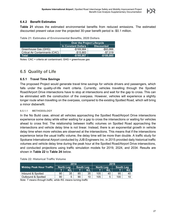#### **6.4.2 Benefit Estimates**

**Table 21** shows the estimated environmental benefits from reduced emissions. The estimated discounted present value over the projected 30-year benefit period is -\$0.1 million.

| Table 21: Estimates of Environmental Benefits, 2020 Dollars |  |  |  |
|-------------------------------------------------------------|--|--|--|
|-------------------------------------------------------------|--|--|--|

|                                 | <b>Over the Project Lifecycle</b> |                   |  |  |
|---------------------------------|-----------------------------------|-------------------|--|--|
|                                 | In Constant Dollars               | <b>Discounted</b> |  |  |
| Greenhouse Gas (GHG)            | -\$169.984                        | $-$ \$93.866      |  |  |
| Critical Air Contaminants (CAC) | $-$15,883$                        | $-$7.019$         |  |  |
| Total                           | $-$185,867$                       | $-$100,885$       |  |  |

Notes: CAC = criteria air contaminant; GHG = greenhouse gas

### **6.5 Quality of Life**

#### **6.5.1 Travel Time Savings**

The proposed Project would generate travel time savings for vehicle drivers and passengers, which falls under the quality-of-life merit criteria. Currently, vehicles travelling through the Spotted Road/Airport Drive intersections have to stop at intersections and wait for the gap to cross. This can be eliminated with the construction of the overpass. However, vehicles will experience a slightly longer route when travelling on the overpass, compared to the existing Spotted Road, which will bring a minor disbenefit.

#### **6.5.1.1 METHODOLOGY**

In the No Build case, almost all vehicles approaching the Spotted Road/Airport Drive intersections experience some delay while either waiting for a gap to cross the intersections or waiting for vehicles ahead to cross first. The relationship between traffic volumes on Spotted Road approaching the intersections and vehicle delay time is not linear. Instead, there is an exponential growth in vehicle delay time when more vehicles are observed at the intersections. This means that if the intersections experience twice the usual traffic volume, the delay time will be more than double. A traffic study for Spokane International Airport conducted by JUB Engineers Inc. in 2015 provided daily historical traffic volumes and vehicle delay time during the peak hour at the Spotted Road/Airport Drive intersections, and conducted projections using traffic simulation models for 2019, 2024, and 2034. Results are shown in **Table 22** to **Table 24** below.

|                                 |    |                  | 2014 |                  | 2019 |                  |     |                  |  |
|---------------------------------|----|------------------|------|------------------|------|------------------|-----|------------------|--|
| <b>Midday Peak Hour Traffic</b> |    | <b>North Leg</b> |      | <b>South Leg</b> |      | <b>North Leg</b> |     | <b>South Leg</b> |  |
|                                 |    | <b>R/L</b>       |      | R/L              | ÷    | <b>RIL</b>       |     | <b>RIL</b>       |  |
| Inbound & Spotted               | 90 | 35               | 85   | 35               | 105  | 40               | 95  | 40               |  |
| Outbound & Spotted              | 90 | 5                | 90   | 10               | 105  | 5                | 100 | 10               |  |

#### **Table 22: Historical Traffic Volume**

*Note: T means through traffic, while R/L means turning traffic*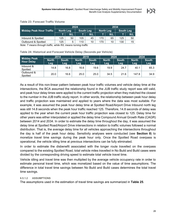|                                 |                  |            | 2024      |     | 2034             |            |                  |     |
|---------------------------------|------------------|------------|-----------|-----|------------------|------------|------------------|-----|
| <b>Midday Peak Hour Traffic</b> | <b>North Leg</b> |            | South Leg |     | <b>North Leg</b> |            | <b>South Leg</b> |     |
|                                 |                  | <b>RIL</b> |           | R/L |                  | <b>RIL</b> |                  | R/L |
| Inbound & Spotted               | 125              | 50         | 105       | 45  | 170              | 65         | 125              | 50  |
| Outbound & Spotted              | 125              | 5          | 110       | 10  | 170              | 10         | 130              | 15  |

#### **Table 23: Forecast Traffic Volume**

*Note: T means through traffic, while R/L means turning traffic*

#### **Table 24: Historical and Forecast Vehicle Delay (Seconds per Vehicle)**

| <b>Midday Peak</b>    | 2014                |                     | 2019                |                     | 2024                |                            | 2034                |                            |
|-----------------------|---------------------|---------------------|---------------------|---------------------|---------------------|----------------------------|---------------------|----------------------------|
| Hour Delay            | <b>North</b><br>Leg | <b>South</b><br>Leg | <b>North</b><br>Leg | <b>South</b><br>Leg | <b>North</b><br>Leg | <b>South</b><br><b>Leg</b> | <b>North</b><br>Leg | <b>South</b><br><b>Leg</b> |
| Inbound &<br>Spotted  | 14.8                | 16.8                | 16.6                | 19.6                | 19.9 <sub>1</sub>   | 24.7                       | 40.1                | 65.3                       |
| Outbound &<br>Spotted | 20.0                | 16.6                | 25.0                | 25.0                | 34.5                | 21.6                       | 147.8               | 34.9                       |

As a result of this non-linear pattern between peak hour traffic volumes and vehicle delay time at the intersections, the BCA assumed the relationship found in the JUB traffic study report was still valid, and peak hour delay times were applied to the current traffic projection when they matched the closest to the number in the JUB traffic study report. In other words, the relationship between peak hour delay and traffic projection was maintained and applied to years where the data was most suitable. For example, it was assumed the peak hour delay time at Spotted Road/Airport Drive Inbound north leg was still 14.8 seconds when the peak hour traffic reached 125. Therefore, 14.8 seconds of delay was applied to the year when the current peak hour traffic projection was closest to 125. Delay time for other years was either interpolated or applied the delay time Compound Annual Growth Rate (CAGR) between 2014 and 2034. In order to estimate the delay time throughout the day, it was assumed the delay time at Spotted Road/Airport Drive intersections in relation to traffic volumes followed a normal distribution. That is, the average delay time for all vehicles approaching the intersections throughout the day is half of the peak hour delay. Sensitivity analyses were conducted (see **Section 8**) to monetize travel time savings during the peak hour only. Once the Spotted Road overpass is operational, the vehicle idling time at previous intersections can be fully eliminated.

In order to estimate the disbenefit associated with the longer route travelled on the overpass compared to the existing Spotted Road, total vehicle miles travelled in No Build and Build cases were divided by the corresponding driving speed to estimate total vehicle travel time.

Vehicle idling and travel time was then multiplied by the average vehicle occupancy rate in order to estimate personal travel time, which was monetized based on the value of time assumptions. The difference in total travel time savings between No Build and Build cases determines the total travel time savings.

#### **6.5.1.2 ASSUMPTIONS**

The assumptions used in the estimation of travel time savings are summarized in **Table 25**.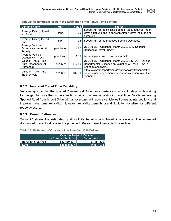| <b>Variable Name</b>                                        | <b>Unit</b> | <b>Value</b> | <b>Source</b>                                                                                                                        |
|-------------------------------------------------------------|-------------|--------------|--------------------------------------------------------------------------------------------------------------------------------------|
| Average Driving Speed -<br>No Build                         | mph         | 30           | Speed limit for the existing Spotted Road, south of Airport<br>Drive outbound and in between Airport Drive inbound and<br>outbound   |
| Average Driving Speed -<br><b>Build</b>                     | mph         | 35           | Speed limit for the proposed Spotted Overpass.                                                                                       |
| Average Vehicle<br>Occupancy - Auto (All<br>Travel)         | people/veh  | 1.67         | USDOT BCA Guidance. March 2022. 2017 National<br>Household Travel Survey.                                                            |
| Average Vehicle<br>Occupancy - Truck                        | people/veh  | 1.00         | Assuming one truck driver per vehicle.                                                                                               |
| Value of Travel Time -<br>Auto Passengers (All<br>Purposes) | 2020\$/hr   | \$17.80      | USDOT BCA Guidance, March 2022, U.S. DOT Revised<br>Departmental Guidance on Valuation of Travel Time in<br>Economic Analysis,       |
| Value of Travel Time -<br><b>Truck Drivers</b>              | 2020\$/hr   | \$32.00      | https://www.transportation.gov/officepolicy/transportation-<br>policy/reviseddepartmental-guidance-valuationtravel-time-<br>economic |

**Table 25: Assumptions used in the Estimation of the Travel Time Savings** 

#### **6.5.2 Improved Travel Time Reliability**

Vehicles approaching the Spotted Road/Airport Drive can experience significant delays while waiting for the gap to cross the two intersections, which causes variability in travel time. Grade separating Spotted Road from Airport Drive with an overpass will reduce vehicle wait times at intersections and improve travel time reliability. However, reliability benefits are difficult to monetize for different roadway users.

#### **6.5.3 Benefit Estimates**

**Table 26** shows the estimated quality of life benefits from travel time savings. The estimated discounted present value over the projected 30-year benefit period is \$1.9 million.

**Table 26: Estimates of Quality of Life Benefits, 2020 Dollars** 

|                            | Over the Project Lifecycle. |                   |  |  |  |  |
|----------------------------|-----------------------------|-------------------|--|--|--|--|
|                            | In Constant Dollars         | <b>Discounted</b> |  |  |  |  |
| <b>Travel Time Savings</b> | \$12,839,877                | \$1.867.590       |  |  |  |  |
| Total                      | \$12,839,877                | \$1,867,590       |  |  |  |  |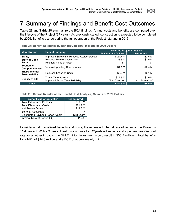FJS

# 7 Summary of Findings and Benefit-Cost Outcomes

**Table 27** and **Table 28** summarize the BCA findings. Annual costs and benefits are computed over the lifecycle of the Project (37 years). As previously stated, construction is expected to be completed by 2025. Benefits accrue during the full operation of the Project, starting in 2016.

|                                           |                                            | <b>Over the Project Lifecycle</b> |                      |  |  |
|-------------------------------------------|--------------------------------------------|-----------------------------------|----------------------|--|--|
| <b>Merit Criteria</b>                     | <b>Benefit Category</b>                    | <b>In Constant Dollars</b>        | <b>Discounted</b>    |  |  |
| <b>Safety</b>                             | Improved Safety and Reduced Accident Costs | \$124.7 M                         | \$32.6 M             |  |  |
| <b>State of Good</b>                      | <b>Reduced Maintenance Costs</b>           | \$8.3 M                           | \$2.5 <sub>M</sub>   |  |  |
| Repair                                    | <b>Residual Value of Asset</b>             | \$-                               | \$ -                 |  |  |
| <b>Economic</b><br><b>Competitiveness</b> | Vehicle Operating Cost Savings             | -\$1.1 M                          | -\$0.4 M             |  |  |
| Environmental<br><b>Sustainability</b>    | <b>Reduced Emission Costs</b>              | $-$0.2 M$                         | -\$0.1 M             |  |  |
|                                           | Fravel Time Savings                        | \$12.8 M                          | \$1.9 M              |  |  |
| <b>Quality of Life</b>                    | <b>Improved Travel Time Reliability</b>    | Not Monetized                     | <b>Not Monetized</b> |  |  |
| <b>Total</b>                              |                                            | \$144.6 M                         | \$36.5 M             |  |  |

**Table 27: Benefit Estimates by Benefit Category, Millions of 2020 Dollars** 

**Table 28: Overall Results of the Benefit Cost Analysis, Millions of 2020 Dollars** 

| <b>Project Evaluation Metric</b>  | <b>Discounted</b> |
|-----------------------------------|-------------------|
| <b>Total Discounted Benefits</b>  | \$36.5 M          |
| <b>Total Discounted Costs</b>     | \$21.7 M          |
| <b>Net Present Value</b>          | \$14.8 M          |
| Benefit / Cost Ratio              | 17                |
| Discounted Payback Period (years) | 13.8 years        |
| Internal Rate of Return (%)       | 11.4%             |

Considering all monetized benefits and costs, the estimated internal rate of return of the Project is 11.4 percent. With a 3 percent real discount rate for CO<sub>2</sub>-related impacts and 7 percent real discount rate for all other impacts, the \$21.7 million investment would result in \$36.5 million in total benefits for a NPV of \$14.8 million and a BCR of approximately 1.7.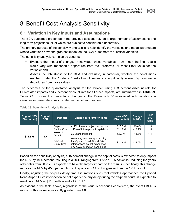# 8 Benefit Cost Analysis Sensitivity

### **8.1 Variation in Key Inputs and Assumptions**

The BCA outcomes presented in the previous sections rely on a large number of assumptions and long-term projections, all of which are subject to considerable uncertainty.

The primary purpose of the sensitivity analysis is to help identify the variables and model parameters whose variations have the greatest impact on the BCA outcomes: the "critical variables."

The sensitivity analysis can also be used to:

- Evaluate the impact of changes in individual critical variables—how much the final results would vary with reasonable departures from the "preferred" or most likely value for the variable; and
- Assess the robustness of the BCA and evaluate, in particular, whether the conclusions reached under the "preferred" set of input values are significantly altered by reasonable departures from those values.

The outcomes of the quantitative analysis for the Project, using a 3 percent discount rate for CO2-related impacts and 7 percent discount rate for all other impacts, are summarized in **Table 29**. **Table 29** provides the percentage changes in the Project's NPV associated with variations in variables or parameters, as indicated in the column headers.

| <b>Original NPV</b><br>(Discounted) | Original<br><b>BCR</b> | <b>Parameter</b>       | <b>Change in Parameter Value</b>                                                                                                       | <b>New NPV</b><br>(Discounted) | Change<br>in NPV | <b>New</b><br>B/C<br><b>Ratio</b> |
|-------------------------------------|------------------------|------------------------|----------------------------------------------------------------------------------------------------------------------------------------|--------------------------------|------------------|-----------------------------------|
|                                     |                        | Project                | -15% of future project capital cost                                                                                                    | \$17.7 M                       | 19.4%            | 1.9                               |
| \$14.8 M                            |                        | Capital Cost           | +15% of future project capital cost                                                                                                    | \$11.9 M                       | $-19.4\%$        | 1.5                               |
|                                     | 1.7                    | Years of<br>Benefit    | 20 years of benefit                                                                                                                    | \$8.0 M                        | $-45.8%$         | 1.4                               |
|                                     |                        | Off-Peak<br>Delay Time | Assuming vehicles approaching<br>the Spotted Road/Airport Drive<br>intersections do not experience<br>any delay during off-peak hours. | \$11.3 M                       | $-24.0\%$        | 1.5                               |

**Table 29: Sensitivity Analysis Results** 

Based on the sensitivity analysis, a 15 percent change in the capital costs is expected to only impact the NPV by 19.4 percent, resulting in a BCR ranging from 1.5 to 1.9. Meanwhile, reducing the years of benefits from 30 to 20 is expected to have the largest impact on the results. Specifically, this change reduces the NPV by 45.8 percent but still reports a BCR of 1.4, greater than the 1.0 threshold.

Finally, adjusting the off-peak delay time assumptions such that vehicles approached the Spotted Road/Airport Drive intersection do not experience any delay during the off-peak hours, is expected to result in an NPV of \$11.3 million and a BCR of 1.5.

As evident in the table above, regardless of the various scenarios considered, the overall BCR is robust, with a value significantly greater than 1.0.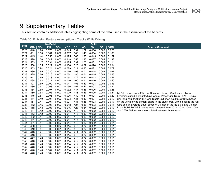# 9 Supplementary Tables

This section contains additional tables highlighting some of the data used in the estimation of the benefits.

|      | <b>No Build</b> |                       |           |                 |            | <b>Build</b>    |                       |           |                 |            |                                                                              |
|------|-----------------|-----------------------|-----------|-----------------|------------|-----------------|-----------------------|-----------|-----------------|------------|------------------------------------------------------------------------------|
| Year | CO <sub>2</sub> | <b>NO<sub>x</sub></b> | <b>PM</b> | SO <sub>2</sub> | <b>VOC</b> | CO <sub>2</sub> | <b>NO<sub>x</sub></b> | <b>PM</b> | SO <sub>2</sub> | <b>VOC</b> | <b>Source/Comment</b>                                                        |
| 2020 | 648             | 1.78                  | 0.073     | 0.002           | 0.245      | 599             | 1.57                  | 0.066     | 0.002           | 0.220      |                                                                              |
| 2021 | 631             | 1.60                  | 0.061     | 0.002           | 0.207      | 583             | 1.40                  | 0.054     | 0.002           | 0.186      |                                                                              |
| 2022 | 615             | 1.44                  | 0.050     | 0.002           | 0.175      | 568             | 1.25                  | 0.045     | 0.002           | 0.157      |                                                                              |
| 2023 | 599             | 1.30                  | 0.042     | 0.002           | 0.148      | 553             | 1.12                  | 0.037     | 0.002           | 0.132      |                                                                              |
| 2024 | 583             | 1.17                  | 0.034     | 0.002           | 0.125      | 539             | 1.00                  | 0.031     | 0.002           | 0.111      |                                                                              |
| 2025 | 568             | 1.05                  | 0.029     | 0.002           | 0.106      | 525             | 0.89                  | 0.026     | 0.002           | 0.094      |                                                                              |
| 2026 | 553             | 0.94                  | 0.024     | 0.002           | 0.089      | 511             | 0.80                  | 0.021     | 0.002           | 0.079      |                                                                              |
| 2027 | 539             | 0.85                  | 0.020     | 0.002           | 0.076      | 498             | 0.71                  | 0.018     | 0.002           | 0.067      |                                                                              |
| 2028 | 525             | 0.76                  | 0.016     | 0.002           | 0.064      | 485             | 0.64                  | 0.015     | 0.002           | 0.056      |                                                                              |
| 2029 | 511             | 0.69                  | 0.013     | 0.002           | 0.054      | 472             | 0.57                  | 0.012     | 0.002           | 0.047      |                                                                              |
| 2030 | 498             | 0.62                  | 0.011     | 0.002           | 0.046      | 460             | 0.51                  | 0.010     | 0.002           | 0.040      |                                                                              |
| 2031 | 493             | 0.59                  | 0.009     | 0.002           | 0.041      | 456             | 0.49                  | 0.008     | 0.002           | 0.035      |                                                                              |
| 2032 | 489             | 0.57                  | 0.008     | 0.002           | 0.036      | 451             | 0.47                  | 0.007     | 0.002           | 0.031      |                                                                              |
| 2033 | 484             | 0.55                  | 0.007     | 0.002           | 0.032      | 447             | 0.45                  | 0.006     | 0.001           | 0.028      |                                                                              |
| 2034 | 480             | 0.53                  | 0.006     | 0.002           | 0.029      | 443             | 0.43                  | 0.005     | 0.001           | 0.024      | MOVES run in June 2021 for Spokane County, Washington. Truck                 |
| 2035 | 475             | 0.51                  | 0.005     | 0.002           | 0.026      | 439             | 0.41                  | 0.004     | 0.001           | 0.022      | Emissions used a weighted average of Passenger Truck (80%), Single           |
| 2036 | 471             | 0.49                  | 0.004     | 0.002           | 0.023      | 435             | 0.39                  | 0.004     | 0.001           | 0.019      | unit long-haul truck (10%), and Single unit short-haul truck(10%) based      |
| 2037 | 467             | 0.47                  | 0.004     | 0.002           | 0.021      | 431             | 0.38                  | 0.003     | 0.001           | 0.017      | on the vehicle type percent share in the study area, with diesel as the fuel |
| 2038 | 462             | 0.45                  | 0.003     | 0.002           | 0.018      | 427             | 0.36                  | 0.003     | 0.001           | 0.015      | type and an average travel speed of 30 mph in the No Build and 35 mph        |
| 2039 | 458             | 0.43                  | 0.003     | 0.002           | 0.016      | 423             | 0.34                  | 0.002     | 0.001           | 0.013      | in the Build. MOVES values were gathered from 2020, 2030, 2040, 2050         |
| 2040 | 454             | 0.42                  | 0.002     | 0.002           | 0.015      | 419             | 0.33                  | 0.002     | 0.001           | 0.012      | and 2060. Values were interpolated between those years.                      |
| 2041 | 453             | 0.42                  | 0.002     | 0.002           | 0.014      | 418             | 0.33                  | 0.002     | 0.001           | 0.012      |                                                                              |
| 2042 | 452             | 0.41                  | 0.002     | 0.002           | 0.014      | 418             | 0.33                  | 0.002     | 0.001           | 0.012      |                                                                              |
| 2043 | 451             | 0.41                  | 0.002     | 0.002           | 0.014      | 417             | 0.33                  | 0.002     | 0.001           | 0.012      |                                                                              |
| 2044 | 451             | 0.41                  | 0.002     | 0.002           | 0.014      | 416             | 0.32                  | 0.002     | 0.001           | 0.011      |                                                                              |
| 2045 | 450             | 0.41                  | 0.002     | 0.002           | 0.014      | 415             | 0.32                  | 0.002     | 0.001           | 0.011      |                                                                              |
| 2046 | 449             | 0.41                  | 0.002     | 0.001           | 0.014      | 415             | 0.32                  | 0.002     | 0.001           | 0.011      |                                                                              |
| 2047 | 448             | 0.41                  | 0.002     | 0.001           | 0.014      | 414             | 0.32                  | 0.002     | 0.001           | 0.011      |                                                                              |
| 2048 | 448             | 0.41                  | 0.002     | 0.001           | 0.014      | 413             | 0.32                  | 0.002     | 0.001           | 0.011      |                                                                              |
| 2049 | 447             | 0.40                  | 0.002     | 0.001           | 0.014      | 413             | 0.32                  | 0.002     | 0.001           | 0.011      |                                                                              |
| 2050 | 446             | 0.40                  | 0.002     | 0.001           | 0.014      | 412             | 0.32                  | 0.002     | 0.001           | 0.011      |                                                                              |
| 2051 | 446             | 0.40                  | 0.002     | 0.001           | 0.014      | 412             | 0.32                  | 0.002     | 0.001           | 0.011      |                                                                              |
| 2052 | 446             | 0.40                  | 0.002     | 0.001           | 0.014      | 412             | 0.32                  | 0.002     | 0.001           | 0.011      |                                                                              |
| 2053 | 446             | 0.40                  | 0.002     | 0.001           | 0.014      | 411             | 0.32                  | 0.002     | 0.001           | 0.011      |                                                                              |
| 2054 | 446             | 0.40                  | 0.002     | 0.001           | 0.014      | 411             | 0.32                  | 0.002     | 0.001           | 0.011      |                                                                              |

**Table 30: Emission Factors Assumptions - Trucks While Driving**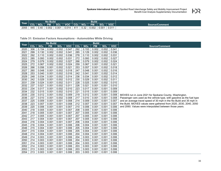| Year |                 |        | No Build  |                 |       |                                               |      | <b>Build</b> |                 |            |                  |
|------|-----------------|--------|-----------|-----------------|-------|-----------------------------------------------|------|--------------|-----------------|------------|------------------|
|      | CO <sub>2</sub> | $NQ_X$ | <b>PM</b> | SO <sub>2</sub> | VOC \ | $\mid$ CO <sub>2</sub> $\mid$ NO <sub>X</sub> |      | <b>PM</b>    | SO <sub>2</sub> | <b>VOC</b> | ⊦Source/Comment' |
| 2055 | 445             | 0.40   | 0.002     | 0.001           | 0.014 | 411                                           | 0.32 | 0.002        | 0.001           | 0.011      |                  |

#### **Table 31: Emission Factors Assumptions - Automobiles While Driving**

|      |                 |                 | <b>No Build</b> |                 |            |                 |                 | <b>Build</b> |                 |            |                                                                         |
|------|-----------------|-----------------|-----------------|-----------------|------------|-----------------|-----------------|--------------|-----------------|------------|-------------------------------------------------------------------------|
| Year | CO <sub>2</sub> | NO <sub>X</sub> | <b>PM</b>       | SO <sub>2</sub> | <b>VOC</b> | CO <sub>2</sub> | NO <sub>x</sub> | <b>PM</b>    | SO <sub>2</sub> | <b>VOC</b> | <b>Source/Comment</b>                                                   |
| 2020 | 306             | 0.154           | 0.002           | 0.002           | 0.047      | 292             | 0.153           | 0.002        | 0.002           | 0.041      |                                                                         |
| 2021 | 299             | 0.130           | 0.002           | 0.002           | 0.041      | 285             | 0.129           | 0.002        | 0.002           | 0.036      |                                                                         |
| 2022 | 292             | 0.110           | 0.002           | 0.002           | 0.036      | 278             | 0.110           | 0.002        | 0.002           | 0.031      |                                                                         |
| 2023 | 285             | 0.093           | 0.002           | 0.002           | 0.031      | 272             | 0.093           | 0.002        | 0.002           | 0.027      |                                                                         |
| 2024 | 279             | 0.079           | 0.002           | 0.002           | 0.027      | 266             | 0.079           | 0.002        | 0.002           | 0.024      |                                                                         |
| 2025 | 272             | 0.067           | 0.002           | 0.002           | 0.024      | 259             | 0.067           | 0.001        | 0.002           | 0.021      |                                                                         |
| 2026 | 266             | 0.056           | 0.001           | 0.002           | 0.021      | 253             | 0.057           | 0.001        | 0.002           | 0.018      |                                                                         |
| 2027 | 260             | 0.048           | 0.001           | 0.002           | 0.018      | 247             | 0.048           | 0.001        | 0.002           | 0.016      |                                                                         |
| 2028 | 253             | 0.040           | 0.001           | 0.002           | 0.016      | 242             | 0.041           | 0.001        | 0.002           | 0.014      |                                                                         |
| 2029 | 248             | 0.034           | 0.001           | 0.002           | 0.014      | 236             | 0.034           | 0.001        | 0.002           | 0.012      |                                                                         |
| 2030 | 242             | 0.029           | 0.001           | 0.002           | 0.012      | 230             | 0.029           | 0.001        | 0.002           | 0.011      |                                                                         |
| 2031 | 239             | 0.024           | 0.001           | 0.002           | 0.011      | 228             | 0.025           | 0.001        | 0.002           | 0.010      |                                                                         |
| 2032 | 237             | 0.021           | 0.001           | 0.002           | 0.011      | 226             | 0.021           | 0.001        | 0.001           | 0.010      |                                                                         |
| 2033 | 234             | 0.017           | 0.001           | 0.002           | 0.010      | 223             | 0.017           | 0.001        | 0.001           | 0.009      |                                                                         |
| 2034 | 232             | 0.015           | 0.001           | 0.002           | 0.010      | 221             | 0.015           | 0.001        | 0.001           | 0.009      |                                                                         |
| 2035 | 230             | 0.012           | 0.001           | 0.002           | 0.009      | 219             | 0.012           | 0.001        | 0.001           | 0.008      | MOVES run in June 2021 for Spokane County, Washington.                  |
| 2036 | 227             | 0.010           | 0.001           | 0.002           | 0.008      | 217             | 0.010           | 0.001        | 0.001           | 0.008      | Passenger cars used as the vehicle type, with gasoline as the fuel type |
| 2037 | 225             | 0.009           | 0.001           | 0.001           | 0.008      | 214             | 0.009           | 0.001        | 0.001           | 0.007      | and an average travel speed of 30 mph in the No Build and 35 mph in     |
| 2038 | 223             | 0.007           | 0.001           | 0.001           | 0.008      | 212             | 0.007           | 0.001        | 0.001           | 0.007      | the Build. MOVES values were gathered from 2020, 2030, 2040, 2050       |
| 2039 | 220             | 0.006           | 0.001           | 0.001           | 0.007      | 210             | 0.006           | 0.001        | 0.001           | 0.006      | and 2060. Values were interpolated between those years.                 |
| 2040 | 218             | 0.005           | 0.001           | 0.001           | 0.007      | 208             | 0.005           | 0.001        | 0.001           | 0.006      |                                                                         |
| 2041 | 218             | 0.005           | 0.001           | 0.001           | 0.007      | 207             | 0.005           | 0.001        | 0.001           | 0.006      |                                                                         |
| 2042 | 217             | 0.005           | 0.001           | 0.001           | 0.007      | 207             | 0.005           | 0.001        | 0.001           | 0.006      |                                                                         |
| 2043 | 217             | 0.004           | 0.001           | 0.001           | 0.007      | 207             | 0.005           | 0.001        | 0.001           | 0.006      |                                                                         |
| 2044 | 216             | 0.004           | 0.001           | 0.001           | 0.007      | 206             | 0.004           | 0.001        | 0.001           | 0.006      |                                                                         |
| 2045 | 216             | 0.004           | 0.001           | 0.001           | 0.006      | 206             | 0.004           | 0.001        | 0.001           | 0.006      |                                                                         |
| 2046 | 215             | 0.004           | 0.001           | 0.001           | 0.006      | 205             | 0.004           | 0.001        | 0.001           | 0.006      |                                                                         |
| 2047 | 215             | 0.004           | 0.001           | 0.001           | 0.006      | 205             | 0.004           | 0.001        | 0.001           | 0.006      |                                                                         |
| 2048 | 214             | 0.004           | 0.001           | 0.001           | 0.006      | 204             | 0.004           | 0.001        | 0.001           | 0.006      |                                                                         |
| 2049 | 214             | 0.003           | 0.001           | 0.001           | 0.006      | 204             | 0.003           | 0.001        | 0.001           | 0.006      |                                                                         |
| 2050 | 214             | 0.003           | 0.001           | 0.001           | 0.006      | 204             | 0.003           | 0.001        | 0.001           | 0.006      |                                                                         |
| 2051 | 214             | 0.003           | 0.001           | 0.001           | 0.006      | 204             | 0.003           | 0.001        | 0.001           | 0.006      |                                                                         |
| 2052 | 214             | 0.003           | 0.001           | 0.001           | 0.006      | 203             | 0.003           | 0.001        | 0.001           | 0.006      |                                                                         |
| 2053 | 213             | 0.003           | 0.001           | 0.001           | 0.006      | 203             | 0.003           | 0.001        | 0.001           | 0.006      |                                                                         |
| 2054 | 213             | 0.003           | 0.001           | 0.001           | 0.006      | 203             | 0.003           | 0.001        | 0.001           | 0.006      |                                                                         |